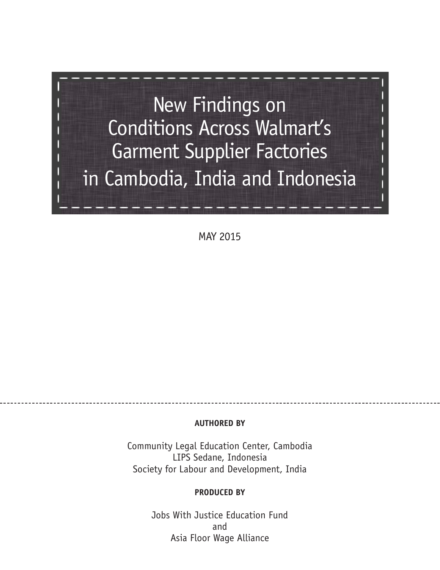

MAY 2015

#### **AUTHORED BY**

Community Legal Education Center, Cambodia LIPS Sedane, Indonesia Society for Labour and Development, India

#### **PRODUCED BY**

Jobs With Justice Education Fund and Asia Floor Wage Alliance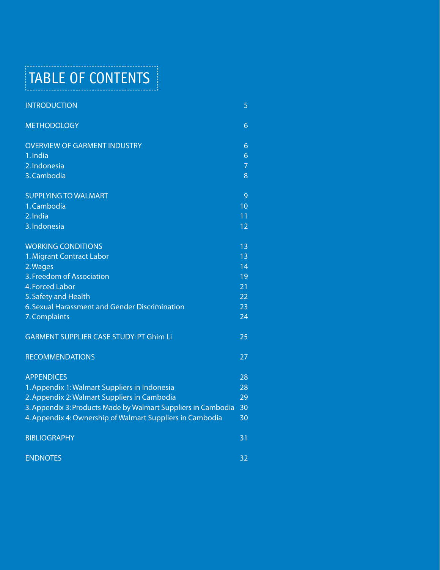TABLE OF CONTENTS

| <b>INTRODUCTION</b>                                           | 5              |
|---------------------------------------------------------------|----------------|
| <b>METHODOLOGY</b>                                            | 6              |
| <b>OVERVIEW OF GARMENT INDUSTRY</b>                           | 6              |
| 1. India                                                      | $\overline{6}$ |
| 2. Indonesia                                                  | $\overline{7}$ |
| 3. Cambodia                                                   | 8              |
| <b>SUPPLYING TO WALMART</b>                                   | 9              |
| 1. Cambodia                                                   | 10             |
| 2. India                                                      | 11             |
| 3. Indonesia                                                  | 12             |
| <b>WORKING CONDITIONS</b>                                     | 13             |
| 1. Migrant Contract Labor                                     | 13             |
| 2. Wages                                                      | 14             |
| 3. Freedom of Association                                     | 19             |
| 4. Forced Labor                                               | 21             |
| 5. Safety and Health                                          | 22             |
| 6. Sexual Harassment and Gender Discrimination                | 23             |
| 7. Complaints                                                 | 24             |
| <b>GARMENT SUPPLIER CASE STUDY: PT Ghim Li</b>                | 25             |
| <b>RECOMMENDATIONS</b>                                        | 27             |
| <b>APPENDICES</b>                                             | 28             |
| 1. Appendix 1: Walmart Suppliers in Indonesia                 | 28             |
| 2. Appendix 2: Walmart Suppliers in Cambodia                  | 29             |
| 3. Appendix 3: Products Made by Walmart Suppliers in Cambodia | 30             |
| 4. Appendix 4: Ownership of Walmart Suppliers in Cambodia     | 30             |
| <b>BIBLIOGRAPHY</b>                                           | 31             |
| <b>ENDNOTES</b>                                               | 32             |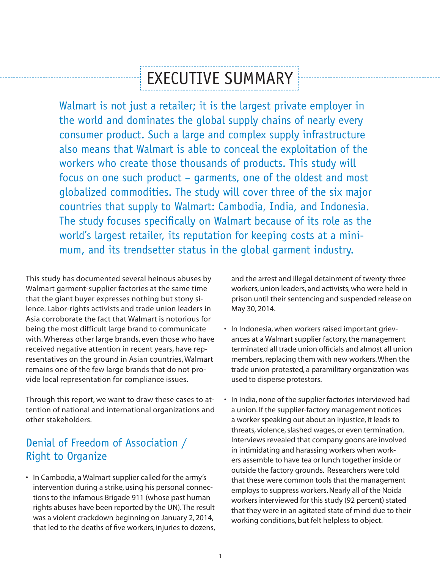# EXECUTIVE SUMMARY

Walmart is not just a retailer; it is the largest private employer in the world and dominates the global supply chains of nearly every consumer product. Such a large and complex supply infrastructure also means that Walmart is able to conceal the exploitation of the workers who create those thousands of products. This study will focus on one such product – garments, one of the oldest and most globalized commodities. The study will cover three of the six major countries that supply to Walmart: Cambodia, India, and Indonesia. The study focuses specifically on Walmart because of its role as the world's largest retailer, its reputation for keeping costs at a minimum, and its trendsetter status in the global garment industry.

This study has documented several heinous abuses by Walmart garment-supplier factories at the same time that the giant buyer expresses nothing but stony silence. Labor-rights activists and trade union leaders in Asia corroborate the fact that Walmart is notorious for being the most difficult large brand to communicate with. Whereas other large brands, even those who have received negative attention in recent years, have representatives on the ground in Asian countries, Walmart remains one of the few large brands that do not provide local representation for compliance issues.

Through this report, we want to draw these cases to attention of national and international organizations and other stakeholders.

## Denial of Freedom of Association / Right to Organize

• In Cambodia, a Walmart supplier called for the army's intervention during a strike, using his personal connections to the infamous Brigade 911 (whose past human rights abuses have been reported by the UN). The result was a violent crackdown beginning on January 2, 2014, that led to the deaths of five workers, injuries to dozens, and the arrest and illegal detainment of twenty-three workers, union leaders, and activists, who were held in prison until their sentencing and suspended release on May 30, 2014.

- In Indonesia, when workers raised important grievances at a Walmart supplier factory, the management terminated all trade union officials and almost all union members, replacing them with new workers. When the trade union protested, a paramilitary organization was used to disperse protestors.
- In India, none of the supplier factories interviewed had a union. If the supplier-factory management notices a worker speaking out about an injustice, it leads to threats, violence, slashed wages, or even termination. Interviews revealed that company goons are involved in intimidating and harassing workers when workers assemble to have tea or lunch together inside or outside the factory grounds. Researchers were told that these were common tools that the management employs to suppress workers. Nearly all of the Noida workers interviewed for this study (92 percent) stated that they were in an agitated state of mind due to their working conditions, but felt helpless to object.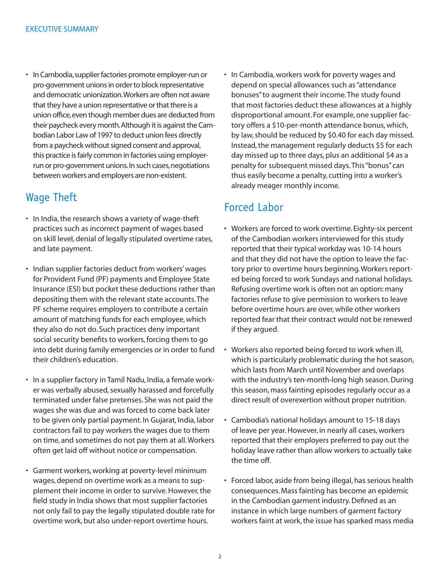• In Cambodia, supplier factories promote employer-run or pro-government unions in order to block representative and democratic unionization. Workers are often not aware that they have a union representative or that there is a union office, even though member dues are deducted from their paycheck every month. Although it is against the Cambodian Labor Law of 1997 to deduct union fees directly from a paycheck without signed consent and approval, this practice is fairly common in factories using employerrun or pro-government unions. In such cases, negotiations between workers and employers are non-existent.

### Wage Theft

- In India, the research shows a variety of wage-theft practices such as incorrect payment of wages based on skill level, denial of legally stipulated overtime rates, and late payment.
- Indian supplier factories deduct from workers' wages for Provident Fund (PF) payments and Employee State Insurance (ESI) but pocket these deductions rather than depositing them with the relevant state accounts. The PF scheme requires employers to contribute a certain amount of matching funds for each employee, which they also do not do. Such practices deny important social security benefits to workers, forcing them to go into debt during family emergencies or in order to fund their children's education.
- In a supplier factory in Tamil Nadu, India, a female worker was verbally abused, sexually harassed and forcefully terminated under false pretenses. She was not paid the wages she was due and was forced to come back later to be given only partial payment. In Gujarat, India, labor contractors fail to pay workers the wages due to them on time, and sometimes do not pay them at all. Workers often get laid off without notice or compensation.
- Garment workers, working at poverty-level minimum wages, depend on overtime work as a means to supplement their income in order to survive. However, the field study in India shows that most supplier factories not only fail to pay the legally stipulated double rate for overtime work, but also under-report overtime hours.

• In Cambodia, workers work for poverty wages and depend on special allowances such as "attendance bonuses" to augment their income. The study found that most factories deduct these allowances at a highly disproportional amount. For example, one supplier factory offers a \$10-per-month attendance bonus, which, by law, should be reduced by \$0.40 for each day missed. Instead, the management regularly deducts \$5 for each day missed up to three days, plus an additional \$4 as a penalty for subsequent missed days. This "bonus" can thus easily become a penalty, cutting into a worker's already meager monthly income.

### Forced Labor

- Workers are forced to work overtime. Eighty-six percent of the Cambodian workers interviewed for this study reported that their typical workday was 10-14 hours and that they did not have the option to leave the factory prior to overtime hours beginning. Workers reported being forced to work Sundays and national holidays. Refusing overtime work is often not an option: many factories refuse to give permission to workers to leave before overtime hours are over, while other workers reported fear that their contract would not be renewed if they argued.
- Workers also reported being forced to work when ill, which is particularly problematic during the hot season, which lasts from March until November and overlaps with the industry's ten-month-long high season. During this season, mass fainting episodes regularly occur as a direct result of overexertion without proper nutrition.
- Cambodia's national holidays amount to 15-18 days of leave per year. However, in nearly all cases, workers reported that their employers preferred to pay out the holiday leave rather than allow workers to actually take the time off.
- Forced labor, aside from being illegal, has serious health consequences. Mass fainting has become an epidemic in the Cambodian garment industry. Defined as an instance in which large numbers of garment factory workers faint at work, the issue has sparked mass media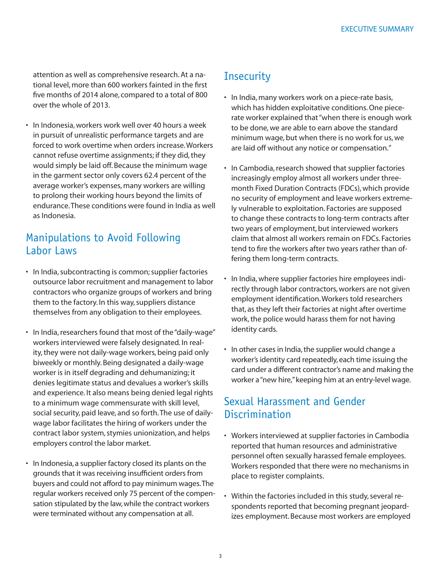attention as well as comprehensive research. At a national level, more than 600 workers fainted in the first five months of 2014 alone, compared to a total of 800 over the whole of 2013.

• In Indonesia, workers work well over 40 hours a week in pursuit of unrealistic performance targets and are forced to work overtime when orders increase. Workers cannot refuse overtime assignments; if they did, they would simply be laid off. Because the minimum wage in the garment sector only covers 62.4 percent of the average worker's expenses, many workers are willing to prolong their working hours beyond the limits of endurance. These conditions were found in India as well as Indonesia.

### Manipulations to Avoid Following Labor Laws

- In India, subcontracting is common; supplier factories outsource labor recruitment and management to labor contractors who organize groups of workers and bring them to the factory. In this way, suppliers distance themselves from any obligation to their employees.
- In India, researchers found that most of the "daily-wage" workers interviewed were falsely designated. In reality, they were not daily-wage workers, being paid only biweekly or monthly. Being designated a daily-wage worker is in itself degrading and dehumanizing; it denies legitimate status and devalues a worker's skills and experience. It also means being denied legal rights to a minimum wage commensurate with skill level, social security, paid leave, and so forth. The use of dailywage labor facilitates the hiring of workers under the contract labor system, stymies unionization, and helps employers control the labor market.
- In Indonesia, a supplier factory closed its plants on the grounds that it was receiving insufficient orders from buyers and could not afford to pay minimum wages. The regular workers received only 75 percent of the compensation stipulated by the law, while the contract workers were terminated without any compensation at all.

## **Insecurity**

- In India, many workers work on a piece-rate basis, which has hidden exploitative conditions. One piecerate worker explained that "when there is enough work to be done, we are able to earn above the standard minimum wage, but when there is no work for us, we are laid off without any notice or compensation."
- In Cambodia, research showed that supplier factories increasingly employ almost all workers under threemonth Fixed Duration Contracts (FDCs), which provide no security of employment and leave workers extremely vulnerable to exploitation. Factories are supposed to change these contracts to long-term contracts after two years of employment, but interviewed workers claim that almost all workers remain on FDCs. Factories tend to fire the workers after two years rather than offering them long-term contracts.
- In India, where supplier factories hire employees indirectly through labor contractors, workers are not given employment identification. Workers told researchers that, as they left their factories at night after overtime work, the police would harass them for not having identity cards.
- In other cases in India, the supplier would change a worker's identity card repeatedly, each time issuing the card under a different contractor's name and making the worker a "new hire," keeping him at an entry-level wage.

### Sexual Harassment and Gender **Discrimination**

- Workers interviewed at supplier factories in Cambodia reported that human resources and administrative personnel often sexually harassed female employees. Workers responded that there were no mechanisms in place to register complaints.
- Within the factories included in this study, several respondents reported that becoming pregnant jeopardizes employment. Because most workers are employed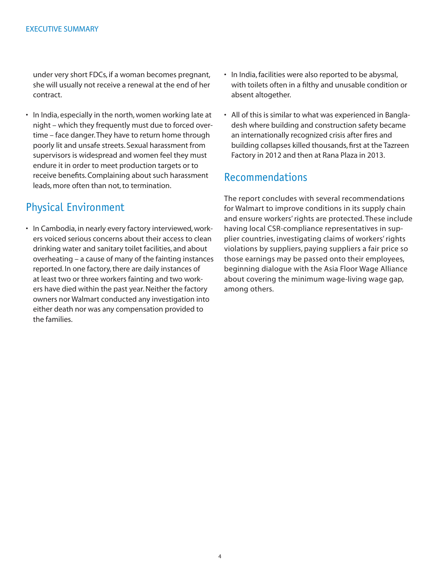under very short FDCs, if a woman becomes pregnant, she will usually not receive a renewal at the end of her contract.

• In India, especially in the north, women working late at night – which they frequently must due to forced overtime – face danger. They have to return home through poorly lit and unsafe streets. Sexual harassment from supervisors is widespread and women feel they must endure it in order to meet production targets or to receive benefits. Complaining about such harassment leads, more often than not, to termination.

## Physical Environment

• In Cambodia, in nearly every factory interviewed, workers voiced serious concerns about their access to clean drinking water and sanitary toilet facilities, and about overheating – a cause of many of the fainting instances reported. In one factory, there are daily instances of at least two or three workers fainting and two workers have died within the past year. Neither the factory owners nor Walmart conducted any investigation into either death nor was any compensation provided to the families.

- In India, facilities were also reported to be abysmal, with toilets often in a filthy and unusable condition or absent altogether.
- All of this is similar to what was experienced in Bangladesh where building and construction safety became an internationally recognized crisis after fires and building collapses killed thousands, first at the Tazreen Factory in 2012 and then at Rana Plaza in 2013.

#### Recommendations

The report concludes with several recommendations for Walmart to improve conditions in its supply chain and ensure workers' rights are protected. These include having local CSR-compliance representatives in supplier countries, investigating claims of workers' rights violations by suppliers, paying suppliers a fair price so those earnings may be passed onto their employees, beginning dialogue with the Asia Floor Wage Alliance about covering the minimum wage-living wage gap, among others.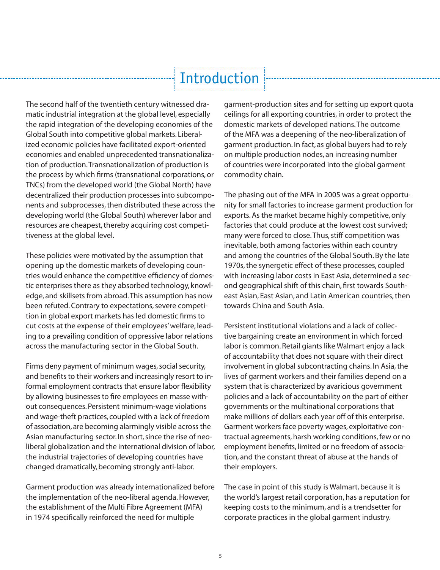# Introduction

The second half of the twentieth century witnessed dramatic industrial integration at the global level, especially the rapid integration of the developing economies of the Global South into competitive global markets. Liberalized economic policies have facilitated export-oriented economies and enabled unprecedented transnationalization of production. Transnationalization of production is the process by which firms (transnational corporations, or TNCs) from the developed world (the Global North) have decentralized their production processes into subcomponents and subprocesses, then distributed these across the developing world (the Global South) wherever labor and resources are cheapest, thereby acquiring cost competitiveness at the global level.

These policies were motivated by the assumption that opening up the domestic markets of developing countries would enhance the competitive efficiency of domestic enterprises there as they absorbed technology, knowledge, and skillsets from abroad. This assumption has now been refuted. Contrary to expectations, severe competition in global export markets has led domestic firms to cut costs at the expense of their employees' welfare, leading to a prevailing condition of oppressive labor relations across the manufacturing sector in the Global South.

Firms deny payment of minimum wages, social security, and benefits to their workers and increasingly resort to informal employment contracts that ensure labor flexibility by allowing businesses to fire employees en masse without consequences. Persistent minimum-wage violations and wage-theft practices, coupled with a lack of freedom of association, are becoming alarmingly visible across the Asian manufacturing sector. In short, since the rise of neoliberal globalization and the international division of labor, the industrial trajectories of developing countries have changed dramatically, becoming strongly anti-labor.

Garment production was already internationalized before the implementation of the neo-liberal agenda. However, the establishment of the Multi Fibre Agreement (MFA) in 1974 specifically reinforced the need for multiple

garment-production sites and for setting up export quota ceilings for all exporting countries, in order to protect the domestic markets of developed nations. The outcome of the MFA was a deepening of the neo-liberalization of garment production. In fact, as global buyers had to rely on multiple production nodes, an increasing number of countries were incorporated into the global garment commodity chain.

The phasing out of the MFA in 2005 was a great opportunity for small factories to increase garment production for exports. As the market became highly competitive, only factories that could produce at the lowest cost survived; many were forced to close. Thus, stiff competition was inevitable, both among factories within each country and among the countries of the Global South. By the late 1970s, the synergetic effect of these processes, coupled with increasing labor costs in East Asia, determined a second geographical shift of this chain, first towards Southeast Asian, East Asian, and Latin American countries, then towards China and South Asia.

Persistent institutional violations and a lack of collective bargaining create an environment in which forced labor is common. Retail giants like Walmart enjoy a lack of accountability that does not square with their direct involvement in global subcontracting chains. In Asia, the lives of garment workers and their families depend on a system that is characterized by avaricious government policies and a lack of accountability on the part of either governments or the multinational corporations that make millions of dollars each year off of this enterprise. Garment workers face poverty wages, exploitative contractual agreements, harsh working conditions, few or no employment benefits, limited or no freedom of association, and the constant threat of abuse at the hands of their employers.

The case in point of this study is Walmart, because it is the world's largest retail corporation, has a reputation for keeping costs to the minimum, and is a trendsetter for corporate practices in the global garment industry.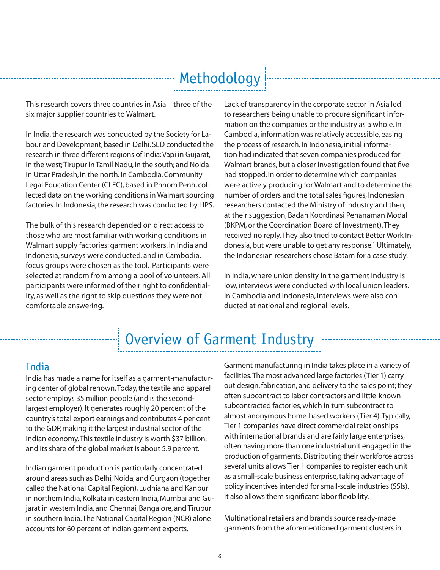# Methodology

This research covers three countries in Asia – three of the six major supplier countries to Walmart.

In India, the research was conducted by the Society for Labour and Development, based in Delhi. SLD conducted the research in three different regions of India: Vapi in Gujarat, in the west; Tirupur in Tamil Nadu, in the south; and Noida in Uttar Pradesh, in the north. In Cambodia, Community Legal Education Center (CLEC), based in Phnom Penh, collected data on the working conditions in Walmart sourcing factories. In Indonesia, the research was conducted by LIPS.

The bulk of this research depended on direct access to those who are most familiar with working conditions in Walmart supply factories: garment workers. In India and Indonesia, surveys were conducted, and in Cambodia, focus groups were chosen as the tool. Participants were selected at random from among a pool of volunteers. All participants were informed of their right to confidentiality, as well as the right to skip questions they were not comfortable answering.

Lack of transparency in the coprorate sector in Asia led<br>
notes escervation for the corporate sector in Asia led<br>
notion on the companies or the industry as a whole. In<br>
the process of research. In Indonesia, initial infor to researchers being unable to procure significant information on the companies or the industry as a whole. In Cambodia, information was relatively accessible, easing the process of research. In Indonesia, initial information had indicated that seven companies produced for Walmart brands, but a closer investigation found that five had stopped. In order to determine which companies were actively producing for Walmart and to determine the number of orders and the total sales figures, Indonesian researchers contacted the Ministry of Industry and then, at their suggestion, Badan Koordinasi Penanaman Modal (BKPM, or the Coordination Board of Investment). They received no reply. They also tried to contact Better Work Indonesia, but were unable to get any response.<sup>1</sup> Ultimately, the Indonesian researchers chose Batam for a case study.

In India, where union density in the garment industry is low, interviews were conducted with local union leaders. In Cambodia and Indonesia, interviews were also conducted at national and regional levels.

## Overview of Garment Industry

## India

India has made a name for itself as a garment-manufacturing center of global renown. Today, the textile and apparel sector employs 35 million people (and is the secondlargest employer). It generates roughly 20 percent of the country's total export earnings and contributes 4 per cent to the GDP, making it the largest industrial sector of the Indian economy. This textile industry is worth \$37 billion, and its share of the global market is about 5.9 percent.

Indian garment production is particularly concentrated around areas such as Delhi, Noida, and Gurgaon (together called the National Capital Region), Ludhiana and Kanpur in northern India, Kolkata in eastern India, Mumbai and Gujarat in western India, and Chennai, Bangalore, and Tirupur in southern India. The National Capital Region (NCR) alone accounts for 60 percent of Indian garment exports.

Garment manufacturing in India takes place in a variety of facilities. The most advanced large factories (Tier 1) carry out design, fabrication, and delivery to the sales point; they often subcontract to labor contractors and little-known subcontracted factories, which in turn subcontract to almost anonymous home-based workers (Tier 4). Typically, Tier 1 companies have direct commercial relationships with international brands and are fairly large enterprises, often having more than one industrial unit engaged in the production of garments. Distributing their workforce across several units allows Tier 1 companies to register each unit as a small-scale business enterprise, taking advantage of policy incentives intended for small-scale industries (SSIs). It also allows them significant labor flexibility.

Multinational retailers and brands source ready-made garments from the aforementioned garment clusters in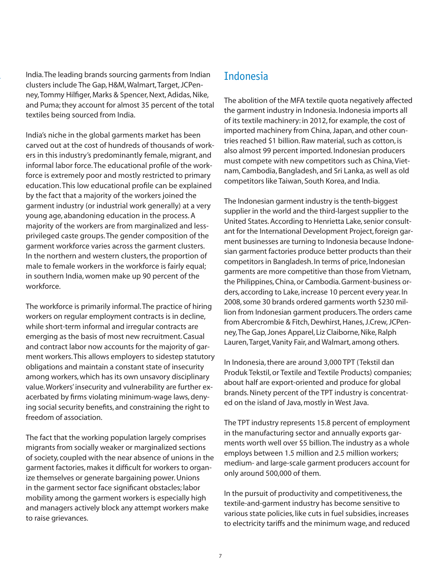India. The leading brands sourcing garments from Indian clusters include The Gap, H&M, Walmart, Target, JCPenney, Tommy Hilfiger, Marks & Spencer, Next, Adidas, Nike, and Puma; they account for almost 35 percent of the total textiles being sourced from India.

India's niche in the global garments market has been carved out at the cost of hundreds of thousands of workers in this industry's predominantly female, migrant, and informal labor force. The educational profile of the workforce is extremely poor and mostly restricted to primary education. This low educational profile can be explained by the fact that a majority of the workers joined the garment industry (or industrial work generally) at a very young age, abandoning education in the process. A majority of the workers are from marginalized and lessprivileged caste groups. The gender composition of the garment workforce varies across the garment clusters. In the northern and western clusters, the proportion of male to female workers in the workforce is fairly equal; in southern India, women make up 90 percent of the workforce.

The workforce is primarily informal. The practice of hiring workers on regular employment contracts is in decline, while short-term informal and irregular contracts are emerging as the basis of most new recruitment. Casual and contract labor now accounts for the majority of garment workers. This allows employers to sidestep statutory obligations and maintain a constant state of insecurity among workers, which has its own unsavory disciplinary value. Workers' insecurity and vulnerability are further exacerbated by firms violating minimum-wage laws, denying social security benefits, and constraining the right to freedom of association.

The fact that the working population largely comprises migrants from socially weaker or marginalized sections of society, coupled with the near absence of unions in the garment factories, makes it difficult for workers to organize themselves or generate bargaining power. Unions in the garment sector face significant obstacles; labor mobility among the garment workers is especially high and managers actively block any attempt workers make to raise grievances.

### Indonesia

The abolition of the MFA textile quota negatively affected the garment industry in Indonesia. Indonesia imports all of its textile machinery: in 2012, for example, the cost of imported machinery from China, Japan, and other countries reached \$1 billion. Raw material, such as cotton, is also almost 99 percent imported. Indonesian producers must compete with new competitors such as China, Vietnam, Cambodia, Bangladesh, and Sri Lanka, as well as old competitors like Taiwan, South Korea, and India.

The Indonesian garment industry is the tenth-biggest supplier in the world and the third-largest supplier to the United States. According to Henrietta Lake, senior consultant for the International Development Project, foreign garment businesses are turning to Indonesia because Indonesian garment factories produce better products than their competitors in Bangladesh. In terms of price, Indonesian garments are more competitive than those from Vietnam, the Philippines, China, or Cambodia. Garment-business orders, according to Lake, increase 10 percent every year. In 2008, some 30 brands ordered garments worth \$230 million from Indonesian garment producers. The orders came from Abercrombie & Fitch, Dewhirst, Hanes, J.Crew, JCPenney, The Gap, Jones Apparel, Liz Claiborne, Nike, Ralph Lauren, Target, Vanity Fair, and Walmart, among others.

In Indonesia, there are around 3,000 TPT (Tekstil dan Produk Tekstil, or Textile and Textile Products) companies; about half are export-oriented and produce for global brands. Ninety percent of the TPT industry is concentrated on the island of Java, mostly in West Java.

The TPT industry represents 15.8 percent of employment in the manufacturing sector and annually exports garments worth well over \$5 billion. The industry as a whole employs between 1.5 million and 2.5 million workers; medium- and large-scale garment producers account for only around 500,000 of them.

In the pursuit of productivity and competitiveness, the textile-and-garment industry has become sensitive to various state policies, like cuts in fuel subsidies, increases to electricity tariffs and the minimum wage, and reduced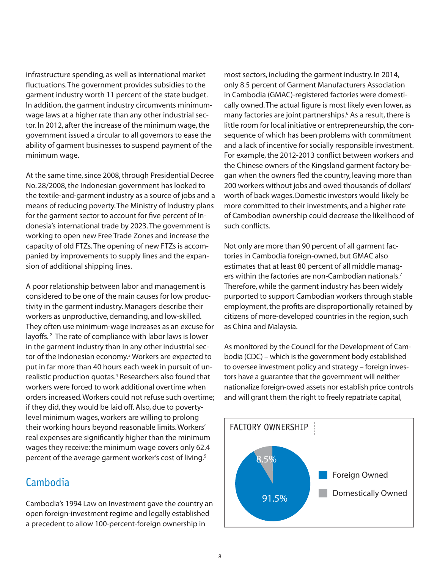infrastructure spending, as well as international market fluctuations. The government provides subsidies to the garment industry worth 11 percent of the state budget. In addition, the garment industry circumvents minimumwage laws at a higher rate than any other industrial sector. In 2012, after the increase of the minimum wage, the government issued a circular to all governors to ease the ability of garment businesses to suspend payment of the minimum wage.

At the same time, since 2008, through Presidential Decree No. 28/2008, the Indonesian government has looked to the textile-and-garment industry as a source of jobs and a means of reducing poverty. The Ministry of Industry plans for the garment sector to account for five percent of Indonesia's international trade by 2023. The government is working to open new Free Trade Zones and increase the capacity of old FTZs. The opening of new FTZs is accompanied by improvements to supply lines and the expansion of additional shipping lines.

A poor relationship between labor and management is considered to be one of the main causes for low productivity in the garment industry. Managers describe their workers as unproductive, demanding, and low-skilled. They often use minimum-wage increases as an excuse for layoffs.<sup>2</sup> The rate of compliance with labor laws is lower in the garment industry than in any other industrial sector of the Indonesian economy.<sup>3</sup> Workers are expected to put in far more than 40 hours each week in pursuit of unrealistic production quotas.<sup>4</sup> Researchers also found that workers were forced to work additional overtime when orders increased. Workers could not refuse such overtime; if they did, they would be laid off. Also, due to povertylevel minimum wages, workers are willing to prolong their working hours beyond reasonable limits. Workers' real expenses are significantly higher than the minimum wages they receive: the minimum wage covers only 62.4 percent of the average garment worker's cost of living.<sup>5</sup>

#### Cambodia

Cambodia's 1994 Law on Investment gave the country an open foreign-investment regime and legally established a precedent to allow 100-percent-foreign ownership in

most sectors, including the garment industry. In 2014, only 8.5 percent of Garment Manufacturers Association in Cambodia (GMAC)-registered factories were domestically owned. The actual figure is most likely even lower, as many factories are joint partnerships.<sup>6</sup> As a result, there is little room for local initiative or entrepreneurship, the consequence of which has been problems with commitment and a lack of incentive for socially responsible investment. For example, the 2012-2013 conflict between workers and the Chinese owners of the Kingsland garment factory began when the owners fled the country, leaving more than 200 workers without jobs and owed thousands of dollars' worth of back wages. Domestic investors would likely be more committed to their investments, and a higher rate of Cambodian ownership could decrease the likelihood of such conflicts.

Not only are more than 90 percent of all garment factories in Cambodia foreign-owned, but GMAC also estimates that at least 80 percent of all middle managers within the factories are non-Cambodian nationals.<sup>7</sup> Therefore, while the garment industry has been widely purported to support Cambodian workers through stable employment, the profits are disproportionally retained by citizens of more-developed countries in the region, such as China and Malaysia.

As monitored by the Council for the Development of Cambodia (CDC) – which is the government body established to oversee investment policy and strategy – foreign investors have a guarantee that the government will neither nationalize foreign-owed assets nor establish price controls and will grant them the right to freely repatriate capital,

In addition,

interest, and other fi nancial obligations. 8

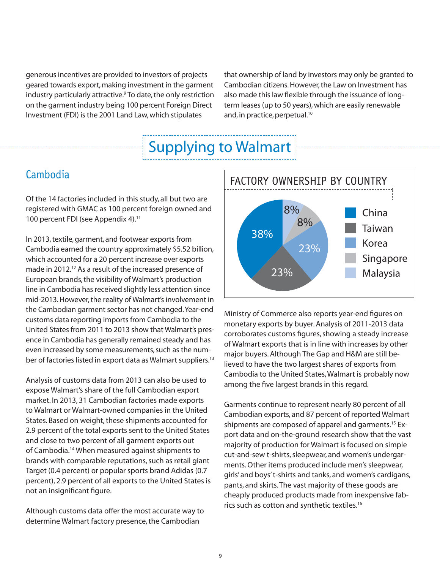generous incentives are provided to investors of projects geared towards export, making investment in the garment industry particularly attractive.<sup>9</sup> To date, the only restriction on the garment industry being 100 percent Foreign Direct Investment (FDI) is the 2001 Land Law, which stipulates

that ownership of land by investors may only be granted to Cambodian citizens. However, the Law on Investment has also made this law flexible through the issuance of longterm leases (up to 50 years), which are easily renewable and, in practice, perpetual.<sup>10</sup>

## Supplying to Walmart

#### **Cambodia**

Of the 14 factories included in this study, all but two are registered with GMAC as 100 percent foreign owned and 100 percent FDI (see Appendix 4).<sup>11</sup>

In 2013, textile, garment, and footwear exports from Cambodia earned the country approximately \$5.52 billion, which accounted for a 20 percent increase over exports made in 2012.<sup>12</sup> As a result of the increased presence of European brands, the visibility of Walmart's production line in Cambodia has received slightly less attention since mid-2013. However, the reality of Walmart's involvement in the Cambodian garment sector has not changed. Year-end customs data reporting imports from Cambodia to the United States from 2011 to 2013 show that Walmart's presence in Cambodia has generally remained steady and has even increased by some measurements, such as the number of factories listed in export data as Walmart suppliers.<sup>13</sup>

Analysis of customs data from 2013 can also be used to expose Walmart's share of the full Cambodian export market. In 2013, 31 Cambodian factories made exports to Walmart or Walmart-owned companies in the United States. Based on weight, these shipments accounted for 2.9 percent of the total exports sent to the United States and close to two percent of all garment exports out of Cambodia.14 When measured against shipments to brands with comparable reputations, such as retail giant Target (0.4 percent) or popular sports brand Adidas (0.7 percent), 2.9 percent of all exports to the United States is not an insignificant figure.

Although customs data offer the most accurate way to determine Walmart factory presence, the Cambodian



Ministry of Commerce also reports year-end figures on monetary exports by buyer. Analysis of 2011-2013 data corroborates customs figures, showing a steady increase of Walmart exports that is in line with increases by other major buyers. Although The Gap and H&M are still believed to have the two largest shares of exports from Cambodia to the United States, Walmart is probably now among the five largest brands in this regard.

Garments continue to represent nearly 80 percent of all Cambodian exports, and 87 percent of reported Walmart shipments are composed of apparel and garments.<sup>15</sup> Export data and on-the-ground research show that the vast majority of production for Walmart is focused on simple cut-and-sew t-shirts, sleepwear, and women's undergarments. Other items produced include men's sleepwear, girls' and boys' t-shirts and tanks, and women's cardigans, pants, and skirts. The vast majority of these goods are cheaply produced products made from inexpensive fabrics such as cotton and synthetic textiles.16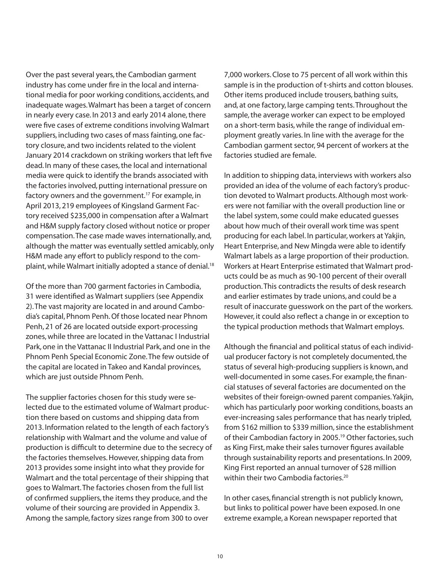Over the past several years, the Cambodian garment industry has come under fire in the local and international media for poor working conditions, accidents, and inadequate wages. Walmart has been a target of concern in nearly every case. In 2013 and early 2014 alone, there were five cases of extreme conditions involving Walmart suppliers, including two cases of mass fainting, one factory closure, and two incidents related to the violent January 2014 crackdown on striking workers that left five dead. In many of these cases, the local and international media were quick to identify the brands associated with the factories involved, putting international pressure on factory owners and the government.17 For example, in April 2013, 219 employees of Kingsland Garment Factory received \$235,000 in compensation after a Walmart and H&M supply factory closed without notice or proper compensation. The case made waves internationally, and, although the matter was eventually settled amicably, only H&M made any effort to publicly respond to the complaint, while Walmart initially adopted a stance of denial.<sup>18</sup>

Of the more than 700 garment factories in Cambodia, 31 were identified as Walmart suppliers (see Appendix 2). The vast majority are located in and around Cambodia's capital, Phnom Penh. Of those located near Phnom Penh, 21 of 26 are located outside export-processing zones, while three are located in the Vattanac I Industrial Park, one in the Vattanac II Industrial Park, and one in the Phnom Penh Special Economic Zone. The few outside of the capital are located in Takeo and Kandal provinces, which are just outside Phnom Penh.

The supplier factories chosen for this study were selected due to the estimated volume of Walmart production there based on customs and shipping data from 2013. Information related to the length of each factory's relationship with Walmart and the volume and value of production is difficult to determine due to the secrecy of the factories themselves. However, shipping data from 2013 provides some insight into what they provide for Walmart and the total percentage of their shipping that goes to Walmart. The factories chosen from the full list of confirmed suppliers, the items they produce, and the volume of their sourcing are provided in Appendix 3. Among the sample, factory sizes range from 300 to over

7,000 workers. Close to 75 percent of all work within this sample is in the production of t-shirts and cotton blouses. Other items produced include trousers, bathing suits, and, at one factory, large camping tents. Throughout the sample, the average worker can expect to be employed on a short-term basis, while the range of individual employment greatly varies. In line with the average for the Cambodian garment sector, 94 percent of workers at the factories studied are female.

In addition to shipping data, interviews with workers also provided an idea of the volume of each factory's production devoted to Walmart products. Although most workers were not familiar with the overall production line or the label system, some could make educated guesses about how much of their overall work time was spent producing for each label. In particular, workers at Yakjin, Heart Enterprise, and New Mingda were able to identify Walmart labels as a large proportion of their production. Workers at Heart Enterprise estimated that Walmart products could be as much as 90-100 percent of their overall production. This contradicts the results of desk research and earlier estimates by trade unions, and could be a result of inaccurate guesswork on the part of the workers. However, it could also reflect a change in or exception to the typical production methods that Walmart employs.

Although the financial and political status of each individual producer factory is not completely documented, the status of several high-producing suppliers is known, and well-documented in some cases. For example, the financial statuses of several factories are documented on the websites of their foreign-owned parent companies. Yakjin, which has particularly poor working conditions, boasts an ever-increasing sales performance that has nearly tripled, from \$162 million to \$339 million, since the establishment of their Cambodian factory in 2005.<sup>19</sup> Other factories, such as King First, make their sales turnover figures available through sustainability reports and presentations. In 2009, King First reported an annual turnover of \$28 million within their two Cambodia factories.<sup>20</sup>

In other cases, financial strength is not publicly known, but links to political power have been exposed. In one extreme example, a Korean newspaper reported that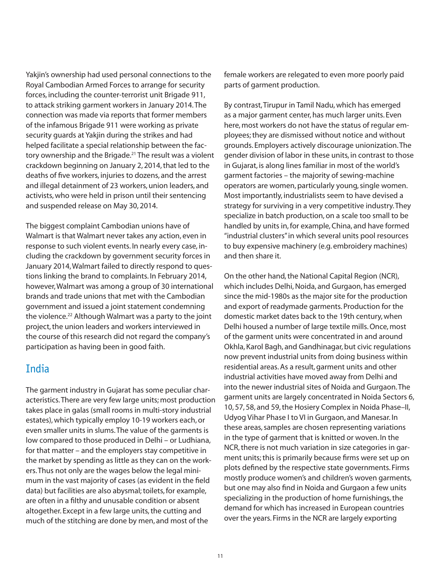Yakjin's ownership had used personal connections to the Royal Cambodian Armed Forces to arrange for security forces, including the counter-terrorist unit Brigade 911, to attack striking garment workers in January 2014. The connection was made via reports that former members of the infamous Brigade 911 were working as private security guards at Yakjin during the strikes and had helped facilitate a special relationship between the factory ownership and the Brigade.<sup>21</sup> The result was a violent crackdown beginning on January 2, 2014, that led to the deaths of five workers, injuries to dozens, and the arrest and illegal detainment of 23 workers, union leaders, and activists, who were held in prison until their sentencing and suspended release on May 30, 2014.

The biggest complaint Cambodian unions have of Walmart is that Walmart never takes any action, even in response to such violent events. In nearly every case, including the crackdown by government security forces in January 2014, Walmart failed to directly respond to questions linking the brand to complaints. In February 2014, however, Walmart was among a group of 30 international brands and trade unions that met with the Cambodian government and issued a joint statement condemning the violence.<sup>22</sup> Although Walmart was a party to the joint project, the union leaders and workers interviewed in the course of this research did not regard the company's participation as having been in good faith.

### India

The garment industry in Gujarat has some peculiar characteristics. There are very few large units; most production takes place in galas (small rooms in multi-story industrial estates), which typically employ 10-19 workers each, or even smaller units in slums. The value of the garments is low compared to those produced in Delhi – or Ludhiana, for that matter – and the employers stay competitive in the market by spending as little as they can on the workers. Thus not only are the wages below the legal minimum in the vast majority of cases (as evident in the field data) but facilities are also abysmal; toilets, for example, are often in a filthy and unusable condition or absent altogether. Except in a few large units, the cutting and much of the stitching are done by men, and most of the

female workers are relegated to even more poorly paid parts of garment production.

By contrast, Tirupur in Tamil Nadu, which has emerged as a major garment center, has much larger units. Even here, most workers do not have the status of regular employees; they are dismissed without notice and without grounds. Employers actively discourage unionization. The gender division of labor in these units, in contrast to those in Gujarat, is along lines familiar in most of the world's garment factories – the majority of sewing-machine operators are women, particularly young, single women. Most importantly, industrialists seem to have devised a strategy for surviving in a very competitive industry. They specialize in batch production, on a scale too small to be handled by units in, for example, China, and have formed "industrial clusters" in which several units pool resources to buy expensive machinery (e.g. embroidery machines) and then share it.

On the other hand, the National Capital Region (NCR), which includes Delhi, Noida, and Gurgaon, has emerged since the mid-1980s as the major site for the production and export of readymade garments. Production for the domestic market dates back to the 19th century, when Delhi housed a number of large textile mills. Once, most of the garment units were concentrated in and around Okhla, Karol Bagh, and Gandhinagar, but civic regulations now prevent industrial units from doing business within residential areas. As a result, garment units and other industrial activities have moved away from Delhi and into the newer industrial sites of Noida and Gurgaon. The garment units are largely concentrated in Noida Sectors 6, 10, 57, 58, and 59, the Hosiery Complex in Noida Phase–II, Udyog Vihar Phase I to VI in Gurgaon, and Manesar. In these areas, samples are chosen representing variations in the type of garment that is knitted or woven. In the NCR, there is not much variation in size categories in garment units; this is primarily because firms were set up on plots defined by the respective state governments. Firms mostly produce women's and children's woven garments, but one may also find in Noida and Gurgaon a few units specializing in the production of home furnishings, the demand for which has increased in European countries over the years. Firms in the NCR are largely exporting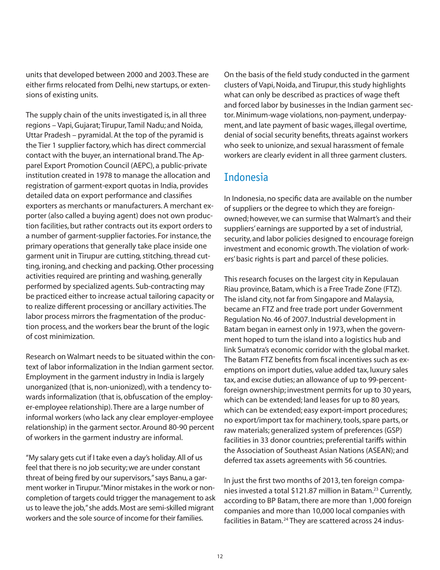units that developed between 2000 and 2003. These are either firms relocated from Delhi, new startups, or extensions of existing units.

The supply chain of the units investigated is, in all three regions – Vapi, Gujarat; Tirupur, Tamil Nadu; and Noida, Uttar Pradesh – pyramidal. At the top of the pyramid is the Tier 1 supplier factory, which has direct commercial contact with the buyer, an international brand. The Apparel Export Promotion Council (AEPC), a public-private institution created in 1978 to manage the allocation and registration of garment-export quotas in India, provides detailed data on export performance and classifies exporters as merchants or manufacturers. A merchant exporter (also called a buying agent) does not own production facilities, but rather contracts out its export orders to a number of garment-supplier factories. For instance, the primary operations that generally take place inside one garment unit in Tirupur are cutting, stitching, thread cutting, ironing, and checking and packing. Other processing activities required are printing and washing, generally performed by specialized agents. Sub-contracting may be practiced either to increase actual tailoring capacity or to realize different processing or ancillary activities. The labor process mirrors the fragmentation of the production process, and the workers bear the brunt of the logic of cost minimization.

Research on Walmart needs to be situated within the context of labor informalization in the Indian garment sector. Employment in the garment industry in India is largely unorganized (that is, non-unionized), with a tendency towards informalization (that is, obfuscation of the employer-employee relationship). There are a large number of informal workers (who lack any clear employer-employee relationship) in the garment sector. Around 80-90 percent of workers in the garment industry are informal.

"My salary gets cut if I take even a day's holiday. All of us feel that there is no job security; we are under constant threat of being fired by our supervisors," says Banu, a garment worker in Tirupur. "Minor mistakes in the work or noncompletion of targets could trigger the management to ask us to leave the job," she adds. Most are semi-skilled migrant workers and the sole source of income for their families.

On the basis of the field study conducted in the garment clusters of Vapi, Noida, and Tirupur, this study highlights what can only be described as practices of wage theft and forced labor by businesses in the Indian garment sector. Minimum-wage violations, non-payment, underpayment, and late payment of basic wages, illegal overtime, denial of social security benefits, threats against workers who seek to unionize, and sexual harassment of female workers are clearly evident in all three garment clusters.

#### Indonesia

In Indonesia, no specific data are available on the number of suppliers or the degree to which they are foreignowned; however, we can surmise that Walmart's and their suppliers' earnings are supported by a set of industrial, security, and labor policies designed to encourage foreign investment and economic growth. The violation of workers' basic rights is part and parcel of these policies.

This research focuses on the largest city in Kepulauan Riau province, Batam, which is a Free Trade Zone (FTZ). The island city, not far from Singapore and Malaysia, became an FTZ and free trade port under Government Regulation No. 46 of 2007. Industrial development in Batam began in earnest only in 1973, when the government hoped to turn the island into a logistics hub and link Sumatra's economic corridor with the global market. The Batam FTZ benefits from fiscal incentives such as exemptions on import duties, value added tax, luxury sales tax, and excise duties; an allowance of up to 99-percentforeign ownership; investment permits for up to 30 years, which can be extended; land leases for up to 80 years, which can be extended; easy export-import procedures; no export/import tax for machinery, tools, spare parts, or raw materials; generalized system of preferences (GSP) facilities in 33 donor countries; preferential tariffs within the Association of Southeast Asian Nations (ASEAN); and deferred tax assets agreements with 56 countries.

In just the first two months of 2013, ten foreign companies invested a total \$121.87 million in Batam.<sup>23</sup> Currently, according to BP Batam, there are more than 1,000 foreign companies and more than 10,000 local companies with facilities in Batam.<sup>24</sup> They are scattered across 24 indus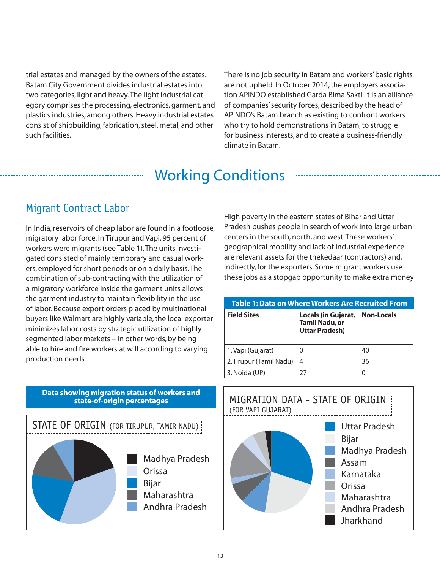trial estates and managed by the owners of the estates. Batam City Government divides industrial estates into two categories, light and heavy. The light industrial category comprises the processing, electronics, garment, and plastics industries, among others. Heavy industrial estates consist of shipbuilding, fabrication, steel, metal, and other such facilities.

There is no job security in Batam and workers' basic rights are not upheld. In October 2014, the employers association APINDO established Garda Bima Sakti. It is an alliance of companies' security forces, described by the head of APINDO's Batam branch as existing to confront workers who try to hold demonstrations in Batam, to struggle for business interests, and to create a business-friendly climate in Batam.

## Working Conditions

## Migrant Contract Labor

In India, reservoirs of cheap labor are found in a footloose, migratory labor force. In Tirupur and Vapi, 95 percent of workers were migrants (see Table 1). The units investigated consisted of mainly temporary and casual workers, employed for short periods or on a daily basis. The combination of sub-contracting with the utilization of a migratory workforce inside the garment units allows the garment industry to maintain flexibility in the use of labor. Because export orders placed by multinational buyers like Walmart are highly variable, the local exporter minimizes labor costs by strategic utilization of highly segmented labor markets – in other words, by being able to hire and fire workers at will according to varying production needs.

High poverty in the eastern states of Bihar and Uttar Pradesh pushes people in search of work into large urban centers in the south, north, and west. These workers' geographical mobility and lack of industrial experience are relevant assets for the thekedaar (contractors) and, indirectly, for the exporters. Some migrant workers use these jobs as a stopgap opportunity to make extra money

#### **Table 1: Data on Where Workers Are Recruited From**

| <b>Field Sites</b>      | Locals (in Gujarat,<br><b>Tamil Nadu, or</b><br><b>Uttar Pradesh)</b> | <b>Non-Locals</b> |
|-------------------------|-----------------------------------------------------------------------|-------------------|
| 1. Vapi (Gujarat)       | 0                                                                     | 40                |
| 2. Tirupur (Tamil Nadu) | 4                                                                     | 36                |
| 3. Noida (UP)           | 27                                                                    |                   |

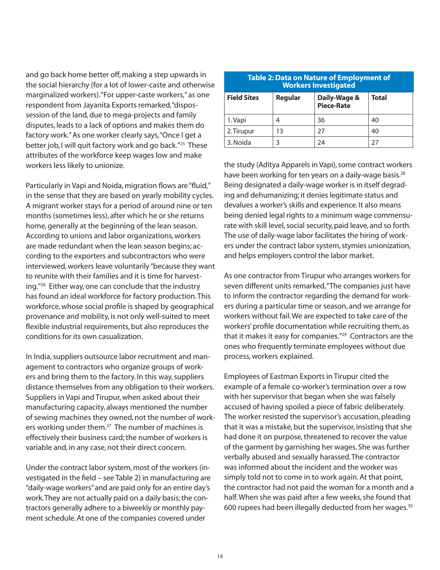and go back home better off, making a step upwards in the social hierarchy (for a lot of lower-caste and otherwise marginalized workers). "For upper-caste workers," as one respondent from Jayanita Exports remarked, "dispossession of the land, due to mega-projects and family disputes, leads to a lack of options and makes them do factory work." As one worker clearly says, "Once I get a better job, I will quit factory work and go back."<sup>25</sup> These attributes of the workforce keep wages low and make workers less likely to unionize.

Particularly in Vapi and Noida, migration flows are "fluid," in the sense that they are based on yearly mobility cycles. A migrant worker stays for a period of around nine or ten months (sometimes less), after which he or she returns home, generally at the beginning of the lean season. According to unions and labor organizations, workers are made redundant when the lean season begins; according to the exporters and subcontractors who were interviewed, workers leave voluntarily "because they want to reunite with their families and it is time for harvesting."26 Either way, one can conclude that the industry has found an ideal workforce for factory production. This workforce, whose social profile is shaped by geographical provenance and mobility, is not only well-suited to meet flexible industrial requirements, but also reproduces the conditions for its own casualization.

In India, suppliers outsource labor recruitment and management to contractors who organize groups of workers and bring them to the factory. In this way, suppliers distance themselves from any obligation to their workers. Suppliers in Vapi and Tirupur, when asked about their manufacturing capacity, always mentioned the number of sewing machines they owned, not the number of workers working under them.<sup>27</sup> The number of machines is effectively their business card; the number of workers is variable and, in any case, not their direct concern.

Under the contract labor system, most of the workers (investigated in the field – see Table 2) in manufacturing are "daily-wage workers" and are paid only for an entire day's work. They are not actually paid on a daily basis; the contractors generally adhere to a biweekly or monthly payment schedule. At one of the companies covered under

| <b>Table 2: Data on Nature of Employment of</b><br><b>Workers Investigated</b> |         |                            |              |
|--------------------------------------------------------------------------------|---------|----------------------------|--------------|
| <b>Field Sites</b>                                                             | Regular | Daily-Wage &<br>Piece-Rate | <b>Total</b> |
| 1. Vapi                                                                        | 4       | 36                         | 40           |
| 2. Tirupur                                                                     | 13      | 27                         | 40           |
| 3. Noida                                                                       |         | 24                         | 27           |

the study (Aditya Apparels in Vapi), some contract workers have been working for ten years on a daily-wage basis.<sup>28</sup> Being designated a daily-wage worker is in itself degrading and dehumanizing; it denies legitimate status and devalues a worker's skills and experience. It also means being denied legal rights to a minimum wage commensurate with skill level, social security, paid leave, and so forth. The use of daily-wage labor facilitates the hiring of workers under the contract labor system, stymies unionization, and helps employers control the labor market.

As one contractor from Tirupur who arranges workers for seven different units remarked, "The companies just have to inform the contractor regarding the demand for workers during a particular time or season, and we arrange for workers without fail. We are expected to take care of the workers' profile documentation while recruiting them, as that it makes it easy for companies."<sup>29</sup> Contractors are the ones who frequently terminate employees without due process, workers explained.

Employees of Eastman Exports in Tirupur cited the example of a female co-worker's termination over a row with her supervisor that began when she was falsely accused of having spoiled a piece of fabric deliberately. The worker resisted the supervisor's accusation, pleading that it was a mistake, but the supervisor, insisting that she had done it on purpose, threatened to recover the value of the garment by garnishing her wages. She was further verbally abused and sexually harassed. The contractor was informed about the incident and the worker was simply told not to come in to work again. At that point, the contractor had not paid the woman for a month and a half. When she was paid after a few weeks, she found that 600 rupees had been illegally deducted from her wages. $30$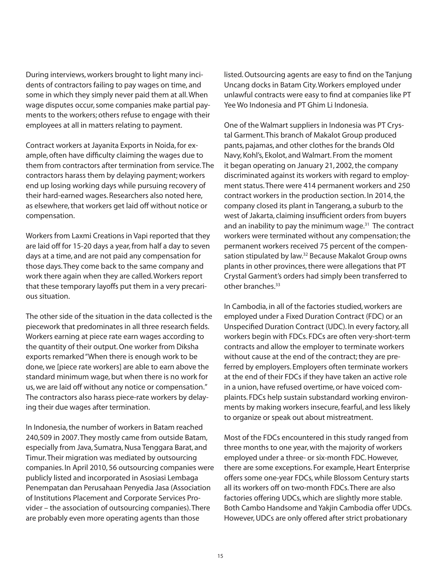During interviews, workers brought to light many incidents of contractors failing to pay wages on time, and some in which they simply never paid them at all. When wage disputes occur, some companies make partial payments to the workers; others refuse to engage with their employees at all in matters relating to payment.

Contract workers at Jayanita Exports in Noida, for example, often have difficulty claiming the wages due to them from contractors after termination from service. The contractors harass them by delaying payment; workers end up losing working days while pursuing recovery of their hard-earned wages. Researchers also noted here, as elsewhere, that workers get laid off without notice or compensation.

Workers from Laxmi Creations in Vapi reported that they are laid off for 15-20 days a year, from half a day to seven days at a time, and are not paid any compensation for those days. They come back to the same company and work there again when they are called. Workers report that these temporary layoffs put them in a very precarious situation.

The other side of the situation in the data collected is the piecework that predominates in all three research fields. Workers earning at piece rate earn wages according to the quantity of their output. One worker from Diksha exports remarked "When there is enough work to be done, we [piece rate workers] are able to earn above the standard minimum wage, but when there is no work for us, we are laid off without any notice or compensation." The contractors also harass piece-rate workers by delaying their due wages after termination.

In Indonesia, the number of workers in Batam reached 240,509 in 2007. They mostly came from outside Batam, especially from Java, Sumatra, Nusa Tenggara Barat, and Timur. Their migration was mediated by outsourcing companies. In April 2010, 56 outsourcing companies were publicly listed and incorporated in Asosiasi Lembaga Penempatan dan Perusahaan Penyedia Jasa (Association of Institutions Placement and Corporate Services Provider – the association of outsourcing companies). There are probably even more operating agents than those

listed. Outsourcing agents are easy to find on the Tanjung Uncang docks in Batam City. Workers employed under unlawful contracts were easy to find at companies like PT Yee Wo Indonesia and PT Ghim Li Indonesia.

One of the Walmart suppliers in Indonesia was PT Crystal Garment. This branch of Makalot Group produced pants, pajamas, and other clothes for the brands Old Navy, Kohl's, Ekolot, and Walmart. From the moment it began operating on January 21, 2002, the company discriminated against its workers with regard to employment status. There were 414 permanent workers and 250 contract workers in the production section. In 2014, the company closed its plant in Tangerang, a suburb to the west of Jakarta, claiming insufficient orders from buyers and an inability to pay the minimum wage. $31$  The contract workers were terminated without any compensation; the permanent workers received 75 percent of the compensation stipulated by law.<sup>32</sup> Because Makalot Group owns plants in other provinces, there were allegations that PT Crystal Garment's orders had simply been transferred to other branches.<sup>33</sup>

In Cambodia, in all of the factories studied, workers are employed under a Fixed Duration Contract (FDC) or an Unspecified Duration Contract (UDC). In every factory, all workers begin with FDCs. FDCs are often very-short-term contracts and allow the employer to terminate workers without cause at the end of the contract; they are preferred by employers. Employers often terminate workers at the end of their FDCs if they have taken an active role in a union, have refused overtime, or have voiced complaints. FDCs help sustain substandard working environments by making workers insecure, fearful, and less likely to organize or speak out about mistreatment.

Most of the FDCs encountered in this study ranged from three months to one year, with the majority of workers employed under a three- or six-month FDC. However, there are some exceptions. For example, Heart Enterprise offers some one-year FDCs, while Blossom Century starts all its workers off on two-month FDCs. There are also factories offering UDCs, which are slightly more stable. Both Cambo Handsome and Yakjin Cambodia offer UDCs. However, UDCs are only offered after strict probationary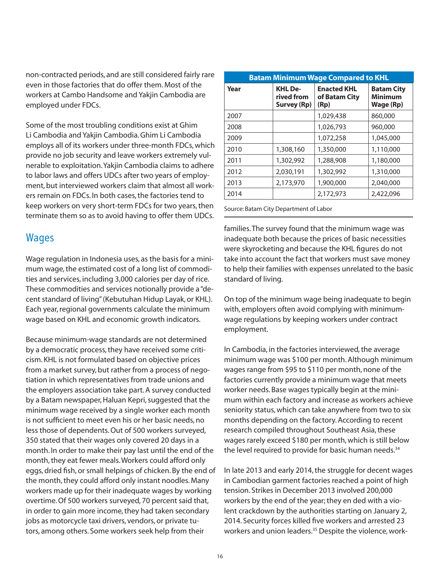non-contracted periods, and are still considered fairly rare even in those factories that do offer them. Most of the workers at Cambo Handsome and Yakjin Cambodia are employed under FDCs.

Some of the most troubling conditions exist at Ghim Li Cambodia and Yakjin Cambodia. Ghim Li Cambodia employs all of its workers under three-month FDCs, which provide no job security and leave workers extremely vulnerable to exploitation. Yakjin Cambodia claims to adhere to labor laws and offers UDCs after two years of employment, but interviewed workers claim that almost all workers remain on FDCs. In both cases, the factories tend to keep workers on very short-term FDCs for two years, then terminate them so as to avoid having to offer them UDCs.

#### **Wages**

Wage regulation in Indonesia uses, as the basis for a minimum wage, the estimated cost of a long list of commodities and services, including 3,000 calories per day of rice. These commodities and services notionally provide a "decent standard of living" (Kebutuhan Hidup Layak, or KHL). Each year, regional governments calculate the minimum wage based on KHL and economic growth indicators.

Because minimum-wage standards are not determined by a democratic process, they have received some criticism. KHL is not formulated based on objective prices from a market survey, but rather from a process of negotiation in which representatives from trade unions and the employers association take part. A survey conducted by a Batam newspaper, Haluan Kepri, suggested that the minimum wage received by a single worker each month is not sufficient to meet even his or her basic needs, no less those of dependents. Out of 500 workers surveyed, 350 stated that their wages only covered 20 days in a month. In order to make their pay last until the end of the month, they eat fewer meals. Workers could afford only eggs, dried fish, or small helpings of chicken. By the end of the month, they could afford only instant noodles. Many workers made up for their inadequate wages by working overtime. Of 500 workers surveyed, 70 percent said that, in order to gain more income, they had taken secondary jobs as motorcycle taxi drivers, vendors, or private tutors, among others. Some workers seek help from their

| <b>Batam Minimum Wage Compared to KHL</b> |                                             |                                             |                                                  |
|-------------------------------------------|---------------------------------------------|---------------------------------------------|--------------------------------------------------|
| Year                                      | <b>KHL De-</b><br>rived from<br>Survey (Rp) | <b>Enacted KHL</b><br>of Batam City<br>(Rp) | <b>Batam City</b><br><b>Minimum</b><br>Wage (Rp) |
| 2007                                      |                                             | 1,029,438                                   | 860,000                                          |
| 2008                                      |                                             | 1,026,793                                   | 960,000                                          |
| 2009                                      |                                             | 1,072,258                                   | 1,045,000                                        |
| 2010                                      | 1,308,160                                   | 1,350,000                                   | 1,110,000                                        |
| 2011                                      | 1,302,992                                   | 1,288,908                                   | 1,180,000                                        |
| 2012                                      | 2,030,191                                   | 1,302,992                                   | 1,310,000                                        |
| 2013                                      | 2,173,970                                   | 1,900,000                                   | 2,040,000                                        |
| 2014                                      |                                             | 2,172,973                                   | 2,422,096                                        |

Source: Batam City Department of Labor

families. The survey found that the minimum wage was inadequate both because the prices of basic necessities were skyrocketing and because the KHL figures do not take into account the fact that workers must save money to help their families with expenses unrelated to the basic standard of living.

On top of the minimum wage being inadequate to begin with, employers often avoid complying with minimumwage regulations by keeping workers under contract employment.

In Cambodia, in the factories interviewed, the average minimum wage was \$100 per month. Although minimum wages range from \$95 to \$110 per month, none of the factories currently provide a minimum wage that meets worker needs. Base wages typically begin at the minimum within each factory and increase as workers achieve seniority status, which can take anywhere from two to six months depending on the factory. According to recent research compiled throughout Southeast Asia, these wages rarely exceed \$180 per month, which is still below the level required to provide for basic human needs.<sup>34</sup>

In late 2013 and early 2014, the struggle for decent wages in Cambodian garment factories reached a point of high tension. Strikes in December 2013 involved 200,000 workers by the end of the year; they en ded with a violent crackdown by the authorities starting on January 2, 2014. Security forces killed five workers and arrested 23 workers and union leaders.<sup>35</sup> Despite the violence, work-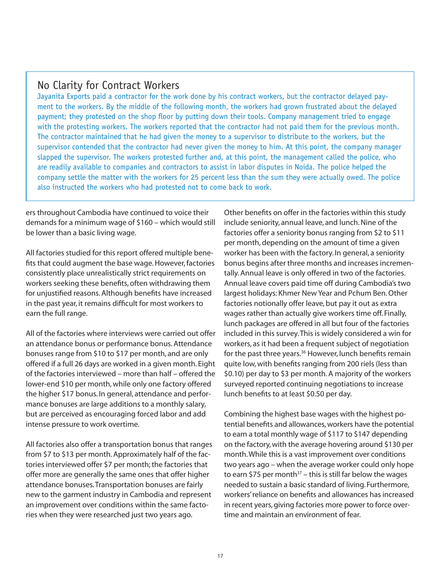#### No Clarity for Contract Workers

Jayanita Exports paid a contractor for the work done by his contract workers, but the contractor delayed payment to the workers. By the middle of the following month, the workers had grown frustrated about the delayed payment; they protested on the shop floor by putting down their tools. Company management tried to engage with the protesting workers. The workers reported that the contractor had not paid them for the previous month. The contractor maintained that he had given the money to a supervisor to distribute to the workers, but the supervisor contended that the contractor had never given the money to him. At this point, the company manager slapped the supervisor. The workers protested further and, at this point, the management called the police, who are readily available to companies and contractors to assist in labor disputes in Noida. The police helped the company settle the matter with the workers for 25 percent less than the sum they were actually owed. The police also instructed the workers who had protested not to come back to work.

ers throughout Cambodia have continued to voice their demands for a minimum wage of \$160 – which would still be lower than a basic living wage.

All factories studied for this report offered multiple benefits that could augment the base wage. However, factories consistently place unrealistically strict requirements on workers seeking these benefits, often withdrawing them for unjustified reasons. Although benefits have increased in the past year, it remains difficult for most workers to earn the full range.

All of the factories where interviews were carried out offer an attendance bonus or performance bonus. Attendance bonuses range from \$10 to \$17 per month, and are only offered if a full 26 days are worked in a given month. Eight of the factories interviewed – more than half – offered the lower-end \$10 per month, while only one factory offered the higher \$17 bonus. In general, attendance and performance bonuses are large additions to a monthly salary, but are perceived as encouraging forced labor and add intense pressure to work overtime.

All factories also offer a transportation bonus that ranges from \$7 to \$13 per month. Approximately half of the factories interviewed offer \$7 per month; the factories that offer more are generally the same ones that offer higher attendance bonuses. Transportation bonuses are fairly new to the garment industry in Cambodia and represent an improvement over conditions within the same factories when they were researched just two years ago.

Other benefits on offer in the factories within this study include seniority, annual leave, and lunch. Nine of the factories offer a seniority bonus ranging from \$2 to \$11 per month, depending on the amount of time a given worker has been with the factory. In general, a seniority bonus begins after three months and increases incrementally. Annual leave is only offered in two of the factories. Annual leave covers paid time off during Cambodia's two largest holidays: Khmer New Year and Pchum Ben. Other factories notionally offer leave, but pay it out as extra wages rather than actually give workers time off. Finally, lunch packages are offered in all but four of the factories included in this survey. This is widely considered a win for workers, as it had been a frequent subject of negotiation for the past three years.<sup>36</sup> However, lunch benefits remain quite low, with benefits ranging from 200 riels (less than \$0.10) per day to \$3 per month. A majority of the workers surveyed reported continuing negotiations to increase lunch benefits to at least \$0.50 per day.

Combining the highest base wages with the highest potential benefits and allowances, workers have the potential to earn a total monthly wage of \$117 to \$147 depending on the factory, with the average hovering around \$130 per month. While this is a vast improvement over conditions two years ago – when the average worker could only hope to earn \$75 per month $37 -$  this is still far below the wages needed to sustain a basic standard of living. Furthermore, workers' reliance on benefits and allowances has increased in recent years, giving factories more power to force overtime and maintain an environment of fear.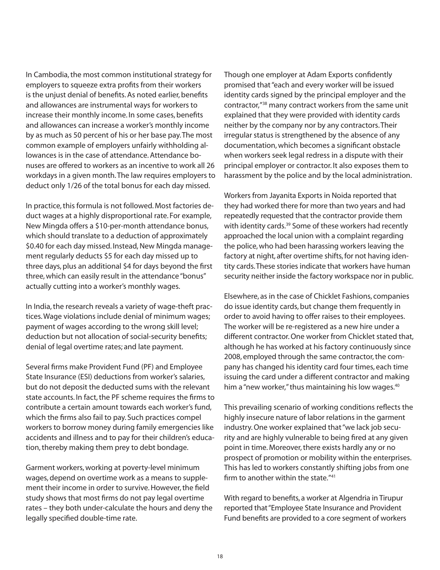In Cambodia, the most common institutional strategy for employers to squeeze extra profits from their workers is the unjust denial of benefits. As noted earlier, benefits and allowances are instrumental ways for workers to increase their monthly income. In some cases, benefits and allowances can increase a worker's monthly income by as much as 50 percent of his or her base pay. The most common example of employers unfairly withholding allowances is in the case of attendance. Attendance bonuses are offered to workers as an incentive to work all 26 workdays in a given month. The law requires employers to deduct only 1/26 of the total bonus for each day missed.

In practice, this formula is not followed. Most factories deduct wages at a highly disproportional rate. For example, New Mingda offers a \$10-per-month attendance bonus, which should translate to a deduction of approximately \$0.40 for each day missed. Instead, New Mingda management regularly deducts \$5 for each day missed up to three days, plus an additional \$4 for days beyond the first three, which can easily result in the attendance "bonus" actually cutting into a worker's monthly wages.

In India, the research reveals a variety of wage-theft practices. Wage violations include denial of minimum wages; payment of wages according to the wrong skill level; deduction but not allocation of social-security benefits; denial of legal overtime rates; and late payment.

Several firms make Provident Fund (PF) and Employee State Insurance (ESI) deductions from worker's salaries, but do not deposit the deducted sums with the relevant state accounts. In fact, the PF scheme requires the firms to contribute a certain amount towards each worker's fund, which the firms also fail to pay. Such practices compel workers to borrow money during family emergencies like accidents and illness and to pay for their children's education, thereby making them prey to debt bondage.

Garment workers, working at poverty-level minimum wages, depend on overtime work as a means to supplement their income in order to survive. However, the field study shows that most firms do not pay legal overtime rates – they both under-calculate the hours and deny the legally specified double-time rate.

Though one employer at Adam Exports confidently promised that "each and every worker will be issued identity cards signed by the principal employer and the contractor,"38 many contract workers from the same unit explained that they were provided with identity cards neither by the company nor by any contractors. Their irregular status is strengthened by the absence of any documentation, which becomes a significant obstacle when workers seek legal redress in a dispute with their principal employer or contractor. It also exposes them to harassment by the police and by the local administration.

Workers from Jayanita Exports in Noida reported that they had worked there for more than two years and had repeatedly requested that the contractor provide them with identity cards.<sup>39</sup> Some of these workers had recently approached the local union with a complaint regarding the police, who had been harassing workers leaving the factory at night, after overtime shifts, for not having identity cards. These stories indicate that workers have human security neither inside the factory workspace nor in public.

Elsewhere, as in the case of Chicklet Fashions, companies do issue identity cards, but change them frequently in order to avoid having to offer raises to their employees. The worker will be re-registered as a new hire under a different contractor. One worker from Chicklet stated that, although he has worked at his factory continuously since 2008, employed through the same contractor, the company has changed his identity card four times, each time issuing the card under a different contractor and making him a "new worker," thus maintaining his low wages.<sup>40</sup>

This prevailing scenario of working conditions reflects the highly insecure nature of labor relations in the garment industry. One worker explained that "we lack job security and are highly vulnerable to being fired at any given point in time. Moreover, there exists hardly any or no prospect of promotion or mobility within the enterprises. This has led to workers constantly shifting jobs from one firm to another within the state. $141$ 

With regard to benefits, a worker at Algendria in Tirupur reported that "Employee State Insurance and Provident Fund benefits are provided to a core segment of workers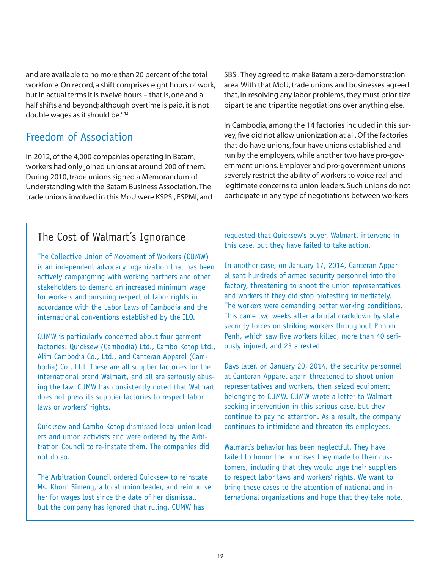and are available to no more than 20 percent of the total workforce. On record, a shift comprises eight hours of work, but in actual terms it is twelve hours – that is, one and a half shifts and beyond; although overtime is paid, it is not double wages as it should be."42

### Freedom of Association

In 2012, of the 4,000 companies operating in Batam, workers had only joined unions at around 200 of them. During 2010, trade unions signed a Memorandum of Understanding with the Batam Business Association. The trade unions involved in this MoU were KSPSI, FSPMI, and SBSI. They agreed to make Batam a zero-demonstration area. With that MoU, trade unions and businesses agreed that, in resolving any labor problems, they must prioritize bipartite and tripartite negotiations over anything else.

In Cambodia, among the 14 factories included in this survey, five did not allow unionization at all. Of the factories that do have unions, four have unions established and run by the employers, while another two have pro-government unions. Employer and pro-government unions severely restrict the ability of workers to voice real and legitimate concerns to union leaders. Such unions do not participate in any type of negotiations between workers

#### The Cost of Walmart's Ignorance

The Collective Union of Movement of Workers (CUMW) is an independent advocacy organization that has been actively campaigning with working partners and other stakeholders to demand an increased minimum wage for workers and pursuing respect of labor rights in accordance with the Labor Laws of Cambodia and the international conventions established by the ILO.

CUMW is particularly concerned about four garment factories: Quicksew (Cambodia) Ltd., Cambo Kotop Ltd., Alim Cambodia Co., Ltd., and Canteran Apparel (Cambodia) Co., Ltd. These are all supplier factories for the international brand Walmart, and all are seriously abusing the law. CUMW has consistently noted that Walmart does not press its supplier factories to respect labor laws or workers' rights.

Quicksew and Cambo Kotop dismissed local union leaders and union activists and were ordered by the Arbitration Council to re-instate them. The companies did not do so.

The Arbitration Council ordered Quicksew to reinstate Ms. Khorn Simeng, a local union leader, and reimburse her for wages lost since the date of her dismissal, but the company has ignored that ruling. CUMW has

requested that Quicksew's buyer, Walmart, intervene in this case, but they have failed to take action.

In another case, on January 17, 2014, Canteran Apparel sent hundreds of armed security personnel into the factory, threatening to shoot the union representatives and workers if they did stop protesting immediately. The workers were demanding better working conditions. This came two weeks after a brutal crackdown by state security forces on striking workers throughout Phnom Penh, which saw five workers killed, more than 40 seriously injured, and 23 arrested.

Days later, on January 20, 2014, the security personnel at Canteran Apparel again threatened to shoot union representatives and workers, then seized equipment belonging to CUMW. CUMW wrote a letter to Walmart seeking intervention in this serious case, but they continue to pay no attention. As a result, the company continues to intimidate and threaten its employees.

Walmart's behavior has been neglectful. They have failed to honor the promises they made to their customers, including that they would urge their suppliers to respect labor laws and workers' rights. We want to bring these cases to the attention of national and international organizations and hope that they take note.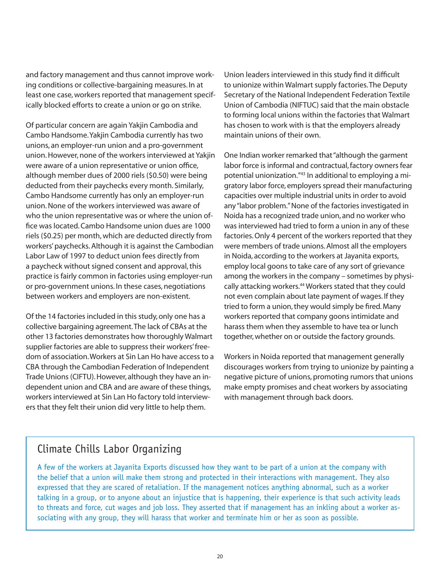and factory management and thus cannot improve working conditions or collective-bargaining measures. In at least one case, workers reported that management specifically blocked efforts to create a union or go on strike.

Of particular concern are again Yakjin Cambodia and Cambo Handsome. Yakjin Cambodia currently has two unions, an employer-run union and a pro-government union. However, none of the workers interviewed at Yakjin were aware of a union representative or union office, although member dues of 2000 riels (\$0.50) were being deducted from their paychecks every month. Similarly, Cambo Handsome currently has only an employer-run union. None of the workers interviewed was aware of who the union representative was or where the union office was located. Cambo Handsome union dues are 1000 riels (\$0.25) per month, which are deducted directly from workers' paychecks. Although it is against the Cambodian Labor Law of 1997 to deduct union fees directly from a paycheck without signed consent and approval, this practice is fairly common in factories using employer-run or pro-government unions. In these cases, negotiations between workers and employers are non-existent.

Of the 14 factories included in this study, only one has a collective bargaining agreement. The lack of CBAs at the other 13 factories demonstrates how thoroughly Walmart supplier factories are able to suppress their workers' freedom of association. Workers at Sin Lan Ho have access to a CBA through the Cambodian Federation of Independent Trade Unions (CIFTU). However, although they have an independent union and CBA and are aware of these things, workers interviewed at Sin Lan Ho factory told interviewers that they felt their union did very little to help them.

Union leaders interviewed in this study find it difficult to unionize within Walmart supply factories. The Deputy Secretary of the National Independent Federation Textile Union of Cambodia (NIFTUC) said that the main obstacle to forming local unions within the factories that Walmart has chosen to work with is that the employers already maintain unions of their own.

One Indian worker remarked that "although the garment labor force is informal and contractual, factory owners fear potential unionization."43 In additional to employing a migratory labor force, employers spread their manufacturing capacities over multiple industrial units in order to avoid any "labor problem." None of the factories investigated in Noida has a recognized trade union, and no worker who was interviewed had tried to form a union in any of these factories. Only 4 percent of the workers reported that they were members of trade unions. Almost all the employers in Noida, according to the workers at Jayanita exports, employ local goons to take care of any sort of grievance among the workers in the company – sometimes by physically attacking workers.<sup>44</sup> Workers stated that they could not even complain about late payment of wages. If they tried to form a union, they would simply be fired. Many workers reported that company goons intimidate and harass them when they assemble to have tea or lunch together, whether on or outside the factory grounds.

Workers in Noida reported that management generally discourages workers from trying to unionize by painting a negative picture of unions, promoting rumors that unions make empty promises and cheat workers by associating with management through back doors.

#### Climate Chills Labor Organizing

A few of the workers at Jayanita Exports discussed how they want to be part of a union at the company with the belief that a union will make them strong and protected in their interactions with management. They also expressed that they are scared of retaliation. If the management notices anything abnormal, such as a worker talking in a group, or to anyone about an injustice that is happening, their experience is that such activity leads to threats and force, cut wages and job loss. They asserted that if management has an inkling about a worker associating with any group, they will harass that worker and terminate him or her as soon as possible.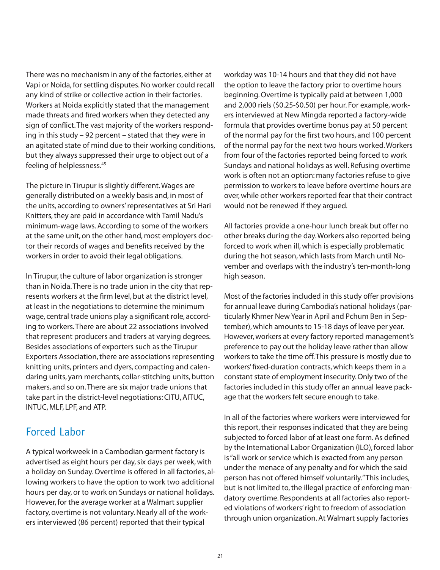There was no mechanism in any of the factories, either at Vapi or Noida, for settling disputes. No worker could recall any kind of strike or collective action in their factories. Workers at Noida explicitly stated that the management made threats and fired workers when they detected any sign of conflict. The vast majority of the workers responding in this study – 92 percent – stated that they were in an agitated state of mind due to their working conditions, but they always suppressed their urge to object out of a feeling of helplessness.45

The picture in Tirupur is slightly different. Wages are generally distributed on a weekly basis and, in most of the units, according to owners' representatives at Sri Hari Knitters, they are paid in accordance with Tamil Nadu's minimum-wage laws. According to some of the workers at the same unit, on the other hand, most employers doctor their records of wages and benefits received by the workers in order to avoid their legal obligations.

In Tirupur, the culture of labor organization is stronger than in Noida. There is no trade union in the city that represents workers at the firm level, but at the district level, at least in the negotiations to determine the minimum wage, central trade unions play a significant role, according to workers. There are about 22 associations involved that represent producers and traders at varying degrees. Besides associations of exporters such as the Tirupur Exporters Association, there are associations representing knitting units, printers and dyers, compacting and calendaring units, yarn merchants, collar-stitching units, button makers, and so on. There are six major trade unions that take part in the district-level negotiations: CITU, AITUC, INTUC, MLF, LPF, and ATP.

### Forced Labor

A typical workweek in a Cambodian garment factory is advertised as eight hours per day, six days per week, with a holiday on Sunday. Overtime is offered in all factories, allowing workers to have the option to work two additional hours per day, or to work on Sundays or national holidays. However, for the average worker at a Walmart supplier factory, overtime is not voluntary. Nearly all of the workers interviewed (86 percent) reported that their typical

workday was 10-14 hours and that they did not have the option to leave the factory prior to overtime hours beginning. Overtime is typically paid at between 1,000 and 2,000 riels (\$0.25-\$0.50) per hour. For example, workers interviewed at New Mingda reported a factory-wide formula that provides overtime bonus pay at 50 percent of the normal pay for the first two hours, and 100 percent of the normal pay for the next two hours worked. Workers from four of the factories reported being forced to work Sundays and national holidays as well. Refusing overtime work is often not an option: many factories refuse to give permission to workers to leave before overtime hours are over, while other workers reported fear that their contract would not be renewed if they argued.

All factories provide a one-hour lunch break but offer no other breaks during the day. Workers also reported being forced to work when ill, which is especially problematic during the hot season, which lasts from March until November and overlaps with the industry's ten-month-long high season.

Most of the factories included in this study offer provisions for annual leave during Cambodia's national holidays (particularly Khmer New Year in April and Pchum Ben in September), which amounts to 15-18 days of leave per year. However, workers at every factory reported management's preference to pay out the holiday leave rather than allow workers to take the time off. This pressure is mostly due to workers' fixed-duration contracts, which keeps them in a constant state of employment insecurity. Only two of the factories included in this study offer an annual leave package that the workers felt secure enough to take.

In all of the factories where workers were interviewed for this report, their responses indicated that they are being subjected to forced labor of at least one form. As defined by the International Labor Organization (ILO), forced labor is "all work or service which is exacted from any person under the menace of any penalty and for which the said person has not offered himself voluntarily." This includes, but is not limited to, the illegal practice of enforcing mandatory overtime. Respondents at all factories also reported violations of workers' right to freedom of association through union organization. At Walmart supply factories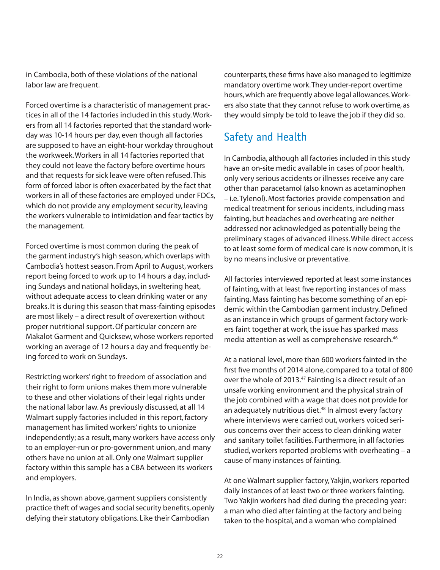in Cambodia, both of these violations of the national labor law are frequent.

Forced overtime is a characteristic of management practices in all of the 14 factories included in this study. Workers from all 14 factories reported that the standard workday was 10-14 hours per day, even though all factories are supposed to have an eight-hour workday throughout the workweek. Workers in all 14 factories reported that they could not leave the factory before overtime hours and that requests for sick leave were often refused. This form of forced labor is often exacerbated by the fact that workers in all of these factories are employed under FDCs, which do not provide any employment security, leaving the workers vulnerable to intimidation and fear tactics by the management.

Forced overtime is most common during the peak of the garment industry's high season, which overlaps with Cambodia's hottest season. From April to August, workers report being forced to work up to 14 hours a day, including Sundays and national holidays, in sweltering heat, without adequate access to clean drinking water or any breaks. It is during this season that mass-fainting episodes are most likely – a direct result of overexertion without proper nutritional support. Of particular concern are Makalot Garment and Quicksew, whose workers reported working an average of 12 hours a day and frequently being forced to work on Sundays.

Restricting workers' right to freedom of association and their right to form unions makes them more vulnerable to these and other violations of their legal rights under the national labor law. As previously discussed, at all 14 Walmart supply factories included in this report, factory management has limited workers' rights to unionize independently; as a result, many workers have access only to an employer-run or pro-government union, and many others have no union at all. Only one Walmart supplier factory within this sample has a CBA between its workers and employers.

In India, as shown above, garment suppliers consistently practice theft of wages and social security benefits, openly defying their statutory obligations. Like their Cambodian

counterparts, these firms have also managed to legitimize mandatory overtime work. They under-report overtime hours, which are frequently above legal allowances. Workers also state that they cannot refuse to work overtime, as they would simply be told to leave the job if they did so.

## Safety and Health

In Cambodia, although all factories included in this study have an on-site medic available in cases of poor health, only very serious accidents or illnesses receive any care other than paracetamol (also known as acetaminophen – i.e. Tylenol). Most factories provide compensation and medical treatment for serious incidents, including mass fainting, but headaches and overheating are neither addressed nor acknowledged as potentially being the preliminary stages of advanced illness. While direct access to at least some form of medical care is now common, it is by no means inclusive or preventative.

All factories interviewed reported at least some instances of fainting, with at least five reporting instances of mass fainting. Mass fainting has become something of an epidemic within the Cambodian garment industry. Defined as an instance in which groups of garment factory workers faint together at work, the issue has sparked mass media attention as well as comprehensive research.<sup>46</sup>

At a national level, more than 600 workers fainted in the first five months of 2014 alone, compared to a total of 800 over the whole of 2013.<sup>47</sup> Fainting is a direct result of an unsafe working environment and the physical strain of the job combined with a wage that does not provide for an adequately nutritious diet.<sup>48</sup> In almost every factory where interviews were carried out, workers voiced serious concerns over their access to clean drinking water and sanitary toilet facilities. Furthermore, in all factories studied, workers reported problems with overheating – a cause of many instances of fainting.

At one Walmart supplier factory, Yakjin, workers reported daily instances of at least two or three workers fainting. Two Yakjin workers had died during the preceding year: a man who died after fainting at the factory and being taken to the hospital, and a woman who complained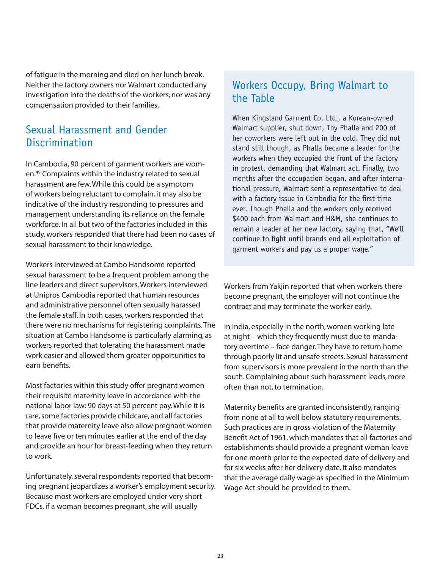of fatigue in the morning and died on her lunch break. Neither the factory owners nor Walmart conducted any investigation into the deaths of the workers, nor was any compensation provided to their families.

#### Sexual Harassment and Gender **Discrimination**

In Cambodia, 90 percent of garment workers are women.49 Complaints within the industry related to sexual harassment are few. While this could be a symptom of workers being reluctant to complain, it may also be indicative of the industry responding to pressures and management understanding its reliance on the female workforce. In all but two of the factories included in this study, workers responded that there had been no cases of sexual harassment to their knowledge.

Workers interviewed at Cambo Handsome reported sexual harassment to be a frequent problem among the line leaders and direct supervisors. Workers interviewed at Unipros Cambodia reported that human resources and administrative personnel often sexually harassed the female staff. In both cases, workers responded that there were no mechanisms for registering complaints. The situation at Cambo Handsome is particularly alarming, as workers reported that tolerating the harassment made work easier and allowed them greater opportunities to earn benefits.

Most factories within this study offer pregnant women their requisite maternity leave in accordance with the national labor law: 90 days at 50 percent pay. While it is rare, some factories provide childcare, and all factories that provide maternity leave also allow pregnant women to leave five or ten minutes earlier at the end of the day and provide an hour for breast-feeding when they return to work.

Unfortunately, several respondents reported that becoming pregnant jeopardizes a worker's employment security. Because most workers are employed under very short FDCs, if a woman becomes pregnant, she will usually

### Workers Occupy, Bring Walmart to the Table

When Kingsland Garment Co. Ltd., a Korean-owned Walmart supplier, shut down, Thy Phalla and 200 of her coworkers were left out in the cold. They did not stand still though, as Phalla became a leader for the workers when they occupied the front of the factory in protest, demanding that Walmart act. Finally, two months after the occupation began, and after international pressure, Walmart sent a representative to deal with a factory issue in Cambodia for the first time ever. Though Phalla and the workers only received \$400 each from Walmart and H&M, she continues to remain a leader at her new factory, saying that, "We'll continue to fight until brands end all exploitation of garment workers and pay us a proper wage."

Workers from Yakjin reported that when workers there become pregnant, the employer will not continue the contract and may terminate the worker early.

In India, especially in the north, women working late at night – which they frequently must due to mandatory overtime – face danger. They have to return home through poorly lit and unsafe streets. Sexual harassment from supervisors is more prevalent in the north than the south. Complaining about such harassment leads, more often than not, to termination.

Maternity benefits are granted inconsistently, ranging from none at all to well below statutory requirements. Such practices are in gross violation of the Maternity Benefit Act of 1961, which mandates that all factories and establishments should provide a pregnant woman leave for one month prior to the expected date of delivery and for six weeks after her delivery date. It also mandates that the average daily wage as specified in the Minimum Wage Act should be provided to them.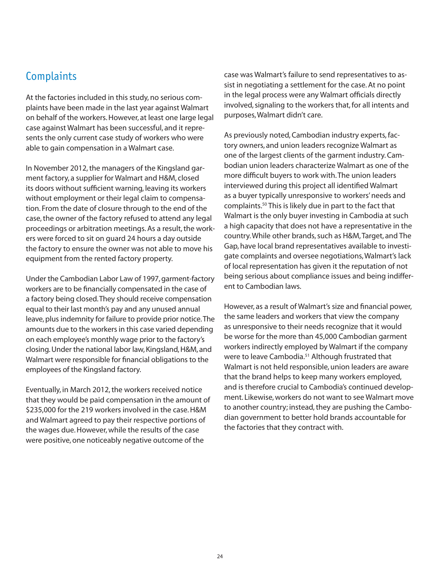#### **Complaints**

At the factories included in this study, no serious complaints have been made in the last year against Walmart on behalf of the workers. However, at least one large legal case against Walmart has been successful, and it represents the only current case study of workers who were able to gain compensation in a Walmart case.

In November 2012, the managers of the Kingsland garment factory, a supplier for Walmart and H&M, closed its doors without sufficient warning, leaving its workers without employment or their legal claim to compensation. From the date of closure through to the end of the case, the owner of the factory refused to attend any legal proceedings or arbitration meetings. As a result, the workers were forced to sit on guard 24 hours a day outside the factory to ensure the owner was not able to move his equipment from the rented factory property.

Under the Cambodian Labor Law of 1997, garment-factory workers are to be financially compensated in the case of a factory being closed. They should receive compensation equal to their last month's pay and any unused annual leave, plus indemnity for failure to provide prior notice. The amounts due to the workers in this case varied depending on each employee's monthly wage prior to the factory's closing. Under the national labor law, Kingsland, H&M, and Walmart were responsible for financial obligations to the employees of the Kingsland factory.

Eventually, in March 2012, the workers received notice that they would be paid compensation in the amount of \$235,000 for the 219 workers involved in the case. H&M and Walmart agreed to pay their respective portions of the wages due. However, while the results of the case were positive, one noticeably negative outcome of the

case was Walmart's failure to send representatives to assist in negotiating a settlement for the case. At no point in the legal process were any Walmart officials directly involved, signaling to the workers that, for all intents and purposes, Walmart didn't care.

As previously noted, Cambodian industry experts, factory owners, and union leaders recognize Walmart as one of the largest clients of the garment industry. Cambodian union leaders characterize Walmart as one of the more difficult buvers to work with. The union leaders interviewed during this project all identified Walmart as a buyer typically unresponsive to workers' needs and complaints.50 This is likely due in part to the fact that Walmart is the only buyer investing in Cambodia at such a high capacity that does not have a representative in the country. While other brands, such as H&M, Target, and The Gap, have local brand representatives available to investigate complaints and oversee negotiations, Walmart's lack of local representation has given it the reputation of not being serious about compliance issues and being indifferent to Cambodian laws.

However, as a result of Walmart's size and financial power, the same leaders and workers that view the company as unresponsive to their needs recognize that it would be worse for the more than 45,000 Cambodian garment workers indirectly employed by Walmart if the company were to leave Cambodia.<sup>51</sup> Although frustrated that Walmart is not held responsible, union leaders are aware that the brand helps to keep many workers employed, and is therefore crucial to Cambodia's continued development. Likewise, workers do not want to see Walmart move to another country; instead, they are pushing the Cambodian government to better hold brands accountable for the factories that they contract with.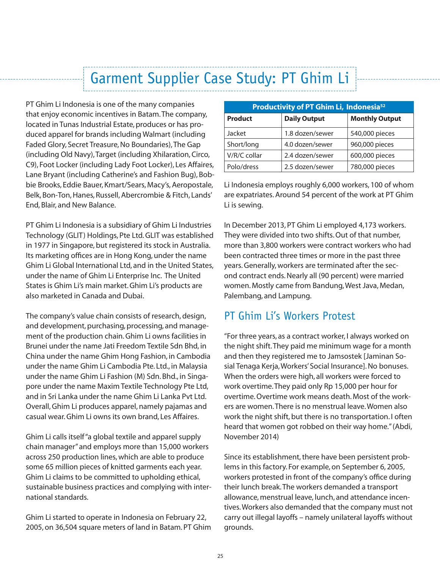## Garment Supplier Case Study: PT Ghim Li

PT Ghim Li Indonesia is one of the many companies that enjoy economic incentives in Batam. The company, located in Tunas Industrial Estate, produces or has produced apparel for brands including Walmart (including Faded Glory, Secret Treasure, No Boundaries), The Gap (including Old Navy), Target (including Xhilaration, Circo, C9), Foot Locker (including Lady Foot Locker), Les Affaires, Lane Bryant (including Catherine's and Fashion Bug), Bobbie Brooks, Eddie Bauer, Kmart/Sears, Macy's, Aeropostale, Belk, Bon-Ton, Hanes, Russell, Abercrombie & Fitch, Lands' End, Blair, and New Balance.

PT Ghim Li Indonesia is a subsidiary of Ghim Li Industries Technology (GLIT) Holdings, Pte Ltd. GLIT was established in 1977 in Singapore, but registered its stock in Australia. Its marketing offices are in Hong Kong, under the name Ghim Li Global International Ltd, and in the United States, under the name of Ghim Li Enterprise Inc. The United States is Ghim Li's main market. Ghim Li's products are also marketed in Canada and Dubai.

The company's value chain consists of research, design, and development, purchasing, processing, and management of the production chain. Ghim Li owns facilities in Brunei under the name Jati Freedom Textile Sdn Bhd, in China under the name Ghim Hong Fashion, in Cambodia under the name Ghim Li Cambodia Pte. Ltd., in Malaysia under the name Ghim Li Fashion (M) Sdn. Bhd., in Singapore under the name Maxim Textile Technology Pte Ltd, and in Sri Lanka under the name Ghim Li Lanka Pvt Ltd. Overall, Ghim Li produces apparel, namely pajamas and casual wear. Ghim Li owns its own brand, Les Affaires.

Ghim Li calls itself "a global textile and apparel supply chain manager" and employs more than 15,000 workers across 250 production lines, which are able to produce some 65 million pieces of knitted garments each year. Ghim Li claims to be committed to upholding ethical, sustainable business practices and complying with international standards.

Ghim Li started to operate in Indonesia on February 22, 2005, on 36,504 square meters of land in Batam. PT Ghim

| Productivity of PT Ghim Li, Indonesia <sup>52</sup> |                     |                       |  |
|-----------------------------------------------------|---------------------|-----------------------|--|
| <b>Product</b>                                      | <b>Daily Output</b> | <b>Monthly Output</b> |  |
| Jacket                                              | 1.8 dozen/sewer     | 540,000 pieces        |  |
| Short/long                                          | 4.0 dozen/sewer     | 960,000 pieces        |  |
| V/R/C collar                                        | 2.4 dozen/sewer     | 600,000 pieces        |  |
| Polo/dress                                          | 2.5 dozen/sewer     | 780,000 pieces        |  |

Li Indonesia employs roughly 6,000 workers, 100 of whom are expatriates. Around 54 percent of the work at PT Ghim Li is sewing.

In December 2013, PT Ghim Li employed 4,173 workers. They were divided into two shifts. Out of that number, more than 3,800 workers were contract workers who had been contracted three times or more in the past three years. Generally, workers are terminated after the second contract ends. Nearly all (90 percent) were married women. Mostly came from Bandung, West Java, Medan, Palembang, and Lampung.

#### PT Ghim Li's Workers Protest

"For three years, as a contract worker, I always worked on the night shift. They paid me minimum wage for a month and then they registered me to Jamsostek [Jaminan Sosial Tenaga Kerja, Workers' Social Insurance]. No bonuses. When the orders were high, all workers were forced to work overtime. They paid only Rp 15,000 per hour for overtime. Overtime work means death. Most of the workers are women. There is no menstrual leave. Women also work the night shift, but there is no transportation. I often heard that women got robbed on their way home." (Abdi, November 2014)

Since its establishment, there have been persistent problems in this factory. For example, on September 6, 2005, workers protested in front of the company's office during their lunch break. The workers demanded a transport allowance, menstrual leave, lunch, and attendance incentives. Workers also demanded that the company must not carry out illegal layoffs – namely unilateral layoffs without grounds.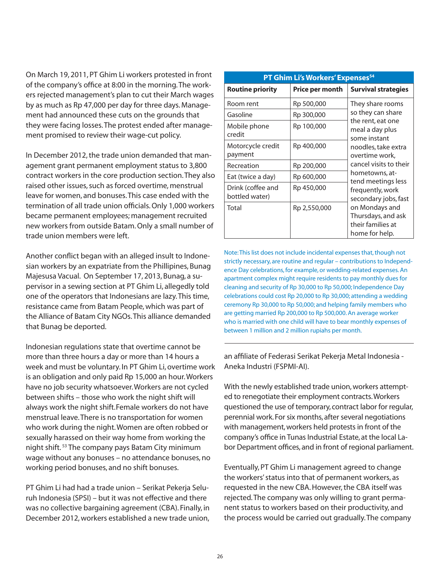On March 19, 2011, PT Ghim Li workers protested in front of the company's office at 8:00 in the morning. The workers rejected management's plan to cut their March wages by as much as Rp 47,000 per day for three days. Management had announced these cuts on the grounds that they were facing losses. The protest ended after management promised to review their wage-cut policy.

In December 2012, the trade union demanded that management grant permanent employment status to 3,800 contract workers in the core production section. They also raised other issues, such as forced overtime, menstrual leave for women, and bonuses. This case ended with the termination of all trade union officials. Only 1,000 workers became permanent employees; management recruited new workers from outside Batam. Only a small number of trade union members were left.

Another conflict began with an alleged insult to Indonesian workers by an expatriate from the Phillipines, Bunag Majesusa Vacual. On September 17, 2013, Bunag, a supervisor in a sewing section at PT Ghim Li, allegedly told one of the operators that Indonesians are lazy. This time, resistance came from Batam People, which was part of the Alliance of Batam City NGOs. This alliance demanded that Bunag be deported.

Indonesian regulations state that overtime cannot be more than three hours a day or more than 14 hours a week and must be voluntary. In PT Ghim Li, overtime work is an obligation and only paid Rp 15,000 an hour. Workers have no job security whatsoever. Workers are not cycled between shifts – those who work the night shift will always work the night shift.Female workers do not have menstrual leave. There is no transportation for women who work during the night. Women are often robbed or sexually harassed on their way home from working the night shift. 53 The company pays Batam City minimum wage without any bonuses – no attendance bonuses, no working period bonuses, and no shift bonuses.

PT Ghim Li had had a trade union – Serikat Pekerja Seluruh Indonesia (SPSI) – but it was not effective and there was no collective bargaining agreement (CBA). Finally, in December 2012, workers established a new trade union,

| PT Ghim Li's Workers' Expenses <sup>54</sup> |                 |                                                                             |  |  |
|----------------------------------------------|-----------------|-----------------------------------------------------------------------------|--|--|
| <b>Routine priority</b>                      | Price per month | <b>Survival strategies</b>                                                  |  |  |
| Room rent                                    | Rp 500,000      | They share rooms                                                            |  |  |
| Gasoline                                     | Rp 300,000      | so they can share                                                           |  |  |
| Mobile phone<br>credit                       | Rp 100,000      | the rent, eat one<br>meal a day plus<br>some instant                        |  |  |
| Motorcycle credit<br>payment                 | Rp 400,000      | noodles, take extra<br>overtime work,                                       |  |  |
| Recreation                                   | Rp 200,000      | cancel visits to their                                                      |  |  |
| Eat (twice a day)                            | Rp 600,000      | hometowns, at-<br>tend meetings less                                        |  |  |
| Drink (coffee and<br>bottled water)          | Rp 450,000      | frequently, work<br>secondary jobs, fast                                    |  |  |
| Total                                        | Rp 2,550,000    | on Mondays and<br>Thursdays, and ask<br>their families at<br>home for help. |  |  |

Note: This list does not include incidental expenses that, though not strictly necessary, are routine and regular – contributions to Independence Day celebrations, for example, or wedding-related expenses. An apartment complex might require residents to pay monthly dues for cleaning and security of Rp 30,000 to Rp 50,000; Independence Day celebrations could cost Rp 20,000 to Rp 30,000; attending a wedding ceremony Rp 30,000 to Rp 50,000; and helping family members who are getting married Rp 200,000 to Rp 500,000. An average worker who is married with one child will have to bear monthly expenses of between 1 million and 2 million rupiahs per month.

an affiliate of Federasi Serikat Pekerja Metal Indonesia -Aneka Industri (FSPMI-AI).

With the newly established trade union, workers attempted to renegotiate their employment contracts. Workers questioned the use of temporary, contract labor for regular, perennial work. For six months, after several negotiations with management, workers held protests in front of the company's office in Tunas Industrial Estate, at the local Labor Department offices, and in front of regional parliament.

Eventually, PT Ghim Li management agreed to change the workers' status into that of permanent workers, as requested in the new CBA. However, the CBA itself was rejected. The company was only willing to grant permanent status to workers based on their productivity, and the process would be carried out gradually. The company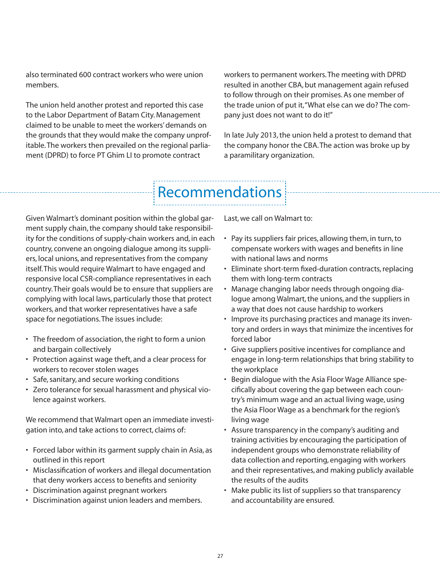also terminated 600 contract workers who were union members.

The union held another protest and reported this case to the Labor Department of Batam City. Management claimed to be unable to meet the workers' demands on the grounds that they would make the company unprofitable. The workers then prevailed on the regional parliament (DPRD) to force PT Ghim LI to promote contract

workers to permanent workers. The meeting with DPRD resulted in another CBA, but management again refused to follow through on their promises. As one member of the trade union of put it, "What else can we do? The company just does not want to do it!"

In late July 2013, the union held a protest to demand that the company honor the CBA. The action was broke up by a paramilitary organization.

# Recommendations

Given Walmart's dominant position within the global garment supply chain, the company should take responsibility for the conditions of supply-chain workers and, in each country, convene an ongoing dialogue among its suppliers, local unions, and representatives from the company itself. This would require Walmart to have engaged and responsive local CSR-compliance representatives in each country. Their goals would be to ensure that suppliers are complying with local laws, particularly those that protect workers, and that worker representatives have a safe space for negotiations. The issues include:

- The freedom of association, the right to form a union and bargain collectively
- Protection against wage theft, and a clear process for workers to recover stolen wages
- Safe, sanitary, and secure working conditions
- Zero tolerance for sexual harassment and physical violence against workers.

We recommend that Walmart open an immediate investigation into, and take actions to correct, claims of:

- Forced labor within its garment supply chain in Asia, as outlined in this report
- Misclassification of workers and illegal documentation that deny workers access to benefits and seniority
- Discrimination against pregnant workers
- Discrimination against union leaders and members.

Last, we call on Walmart to:

- Pay its suppliers fair prices, allowing them, in turn, to compensate workers with wages and benefits in line with national laws and norms
- Eliminate short-term fixed-duration contracts, replacing them with long-term contracts
- Manage changing labor needs through ongoing dialogue among Walmart, the unions, and the suppliers in a way that does not cause hardship to workers
- Improve its purchasing practices and manage its inventory and orders in ways that minimize the incentives for forced labor
- Give suppliers positive incentives for compliance and engage in long-term relationships that bring stability to the workplace
- Begin dialogue with the Asia Floor Wage Alliance specifically about covering the gap between each country's minimum wage and an actual living wage, using the Asia Floor Wage as a benchmark for the region's living wage
- Assure transparency in the company's auditing and training activities by encouraging the participation of independent groups who demonstrate reliability of data collection and reporting, engaging with workers and their representatives, and making publicly available the results of the audits
- Make public its list of suppliers so that transparency and accountability are ensured.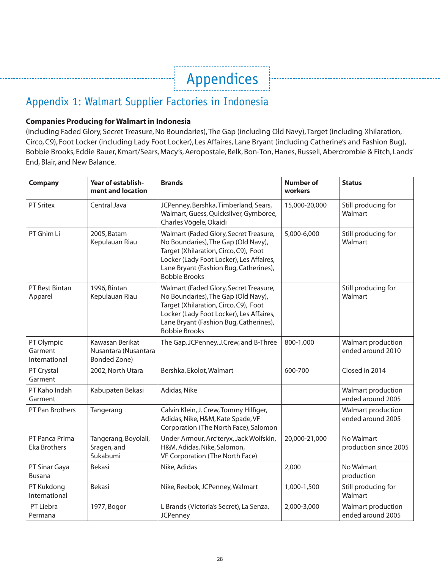## Appendices

## Appendix 1: Walmart Supplier Factories in Indonesia

#### **Companies Producing for Walmart in Indonesia**

(including Faded Glory, Secret Treasure, No Boundaries), The Gap (including Old Navy), Target (including Xhilaration, Circo, C9), Foot Locker (including Lady Foot Locker), Les Affaires, Lane Bryant (including Catherine's and Fashion Bug), Bobbie Brooks, Eddie Bauer, Kmart/Sears, Macy's, Aeropostale, Belk, Bon-Ton, Hanes, Russell, Abercrombie & Fitch, Lands' End, Blair, and New Balance.

| <b>Company</b>                         | Year of establish-<br>ment and location                        | <b>Brands</b>                                                                                                                                                                                                                        | <b>Number of</b><br>workers | <b>Status</b>                           |
|----------------------------------------|----------------------------------------------------------------|--------------------------------------------------------------------------------------------------------------------------------------------------------------------------------------------------------------------------------------|-----------------------------|-----------------------------------------|
| <b>PT Sritex</b>                       | Central Java                                                   | JCPenney, Bershka, Timberland, Sears,<br>Walmart, Guess, Quicksilver, Gymboree,<br>Charles Vögele, Okaidi                                                                                                                            | 15,000-20,000               | Still producing for<br>Walmart          |
| PT Ghim Li                             | 2005, Batam<br>Kepulauan Riau                                  | Walmart (Faded Glory, Secret Treasure,<br>No Boundaries), The Gap (Old Navy),<br>Target (Xhilaration, Circo, C9), Foot<br>Locker (Lady Foot Locker), Les Affaires,<br>Lane Bryant (Fashion Bug, Catherines),<br><b>Bobbie Brooks</b> | 5,000-6,000                 | Still producing for<br>Walmart          |
| PT Best Bintan<br>Apparel              | 1996, Bintan<br>Kepulauan Riau                                 | Walmart (Faded Glory, Secret Treasure,<br>No Boundaries), The Gap (Old Navy),<br>Target (Xhilaration, Circo, C9), Foot<br>Locker (Lady Foot Locker), Les Affaires,<br>Lane Bryant (Fashion Bug, Catherines),<br><b>Bobbie Brooks</b> |                             | Still producing for<br>Walmart          |
| PT Olympic<br>Garment<br>International | Kawasan Berikat<br>Nusantara (Nusantara<br><b>Bonded Zone)</b> | The Gap, JCPenney, J.Crew, and B-Three                                                                                                                                                                                               | 800-1,000                   | Walmart production<br>ended around 2010 |
| PT Crystal<br>Garment                  | 2002, North Utara                                              | Bershka, Ekolot, Walmart                                                                                                                                                                                                             | 600-700                     | Closed in 2014                          |
| PT Kaho Indah<br>Garment               | Kabupaten Bekasi                                               | Adidas, Nike                                                                                                                                                                                                                         |                             | Walmart production<br>ended around 2005 |
| PT Pan Brothers                        | Tangerang                                                      | Calvin Klein, J. Crew, Tommy Hilfiger,<br>Adidas, Nike, H&M, Kate Spade, VF<br>Corporation (The North Face), Salomon                                                                                                                 |                             | Walmart production<br>ended around 2005 |
| PT Panca Prima<br><b>Eka Brothers</b>  | Tangerang, Boyolali,<br>Sragen, and<br>Sukabumi                | Under Armour, Arc'teryx, Jack Wolfskin,<br>H&M, Adidas, Nike, Salomon,<br>VF Corporation (The North Face)                                                                                                                            | 20,000-21,000               | No Walmart<br>production since 2005     |
| PT Sinar Gaya<br><b>Busana</b>         | <b>Bekasi</b>                                                  | Nike, Adidas                                                                                                                                                                                                                         | 2,000                       | No Walmart<br>production                |
| PT Kukdong<br>International            | <b>Bekasi</b>                                                  | Nike, Reebok, JCPenney, Walmart                                                                                                                                                                                                      | 1,000-1,500                 | Still producing for<br>Walmart          |
| PT Liebra<br>Permana                   | 1977, Bogor                                                    | L Brands (Victoria's Secret), La Senza,<br><b>JCPenney</b>                                                                                                                                                                           | 2,000-3,000                 | Walmart production<br>ended around 2005 |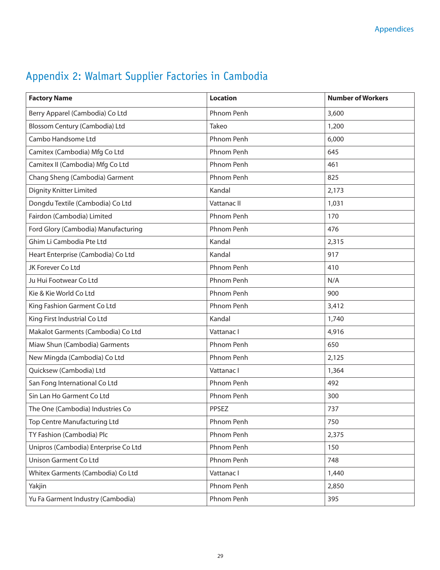| <b>Factory Name</b>                  | <b>Location</b>   | <b>Number of Workers</b> |
|--------------------------------------|-------------------|--------------------------|
| Berry Apparel (Cambodia) Co Ltd      | <b>Phnom Penh</b> | 3,600                    |
| Blossom Century (Cambodia) Ltd       | Takeo             | 1,200                    |
| Cambo Handsome Ltd                   | Phnom Penh        | 6,000                    |
| Camitex (Cambodia) Mfg Co Ltd        | Phnom Penh        | 645                      |
| Camitex II (Cambodia) Mfg Co Ltd     | Phnom Penh        | 461                      |
| Chang Sheng (Cambodia) Garment       | Phnom Penh        | 825                      |
| <b>Dignity Knitter Limited</b>       | Kandal            | 2,173                    |
| Dongdu Textile (Cambodia) Co Ltd     | Vattanac II       | 1,031                    |
| Fairdon (Cambodia) Limited           | Phnom Penh        | 170                      |
| Ford Glory (Cambodia) Manufacturing  | Phnom Penh        | 476                      |
| Ghim Li Cambodia Pte Ltd             | Kandal            | 2,315                    |
| Heart Enterprise (Cambodia) Co Ltd   | Kandal            | 917                      |
| JK Forever Co Ltd                    | <b>Phnom Penh</b> | 410                      |
| Ju Hui Footwear Co Ltd               | Phnom Penh        | N/A                      |
| Kie & Kie World Co Ltd               | Phnom Penh        | 900                      |
| King Fashion Garment Co Ltd          | Phnom Penh        | 3,412                    |
| King First Industrial Co Ltd         | Kandal            | 1,740                    |
| Makalot Garments (Cambodia) Co Ltd   | Vattanac I        | 4,916                    |
| Miaw Shun (Cambodia) Garments        | Phnom Penh        | 650                      |
| New Mingda (Cambodia) Co Ltd         | Phnom Penh        | 2,125                    |
| Quicksew (Cambodia) Ltd              | Vattanac I        | 1,364                    |
| San Fong International Co Ltd        | Phnom Penh        | 492                      |
| Sin Lan Ho Garment Co Ltd            | <b>Phnom Penh</b> | 300                      |
| The One (Cambodia) Industries Co     | PPSEZ             | 737                      |
| Top Centre Manufacturing Ltd         | Phnom Penh        | 750                      |
| TY Fashion (Cambodia) Plc            | Phnom Penh        | 2,375                    |
| Unipros (Cambodia) Enterprise Co Ltd | Phnom Penh        | 150                      |
| Unison Garment Co Ltd                | Phnom Penh        | 748                      |
| Whitex Garments (Cambodia) Co Ltd    | Vattanac I        | 1,440                    |
| Yakjin                               | Phnom Penh        | 2,850                    |
| Yu Fa Garment Industry (Cambodia)    | Phnom Penh        | 395                      |

## Appendix 2: Walmart Supplier Factories in Cambodia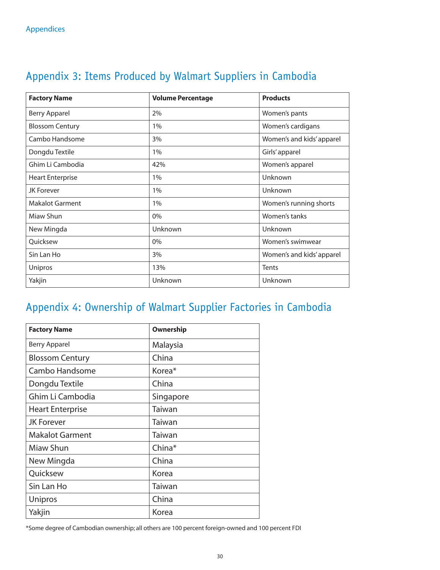| <b>Factory Name</b>     | <b>Volume Percentage</b> | <b>Products</b>           |
|-------------------------|--------------------------|---------------------------|
| <b>Berry Apparel</b>    | 2%                       | Women's pants             |
| <b>Blossom Century</b>  | 1%                       | Women's cardigans         |
| Cambo Handsome          | 3%                       | Women's and kids' apparel |
| Dongdu Textile          | 1%                       | Girls' apparel            |
| Ghim Li Cambodia        | 42%                      | Women's apparel           |
| <b>Heart Enterprise</b> | 1%                       | Unknown                   |
| <b>JK Forever</b>       | 1%                       | Unknown                   |
| <b>Makalot Garment</b>  | 1%                       | Women's running shorts    |
| Miaw Shun               | 0%                       | Women's tanks             |
| New Mingda              | Unknown                  | Unknown                   |
| Ouicksew                | 0%                       | Women's swimwear          |
| Sin Lan Ho              | 3%                       | Women's and kids' apparel |
| Unipros                 | 13%                      | <b>Tents</b>              |
| Yakjin                  | Unknown                  | Unknown                   |

## Appendix 3: Items Produced by Walmart Suppliers in Cambodia

## Appendix 4: Ownership of Walmart Supplier Factories in Cambodia

| <b>Factory Name</b>     | Ownership          |
|-------------------------|--------------------|
| <b>Berry Apparel</b>    | Malaysia           |
| <b>Blossom Century</b>  | China              |
| Cambo Handsome          | Korea <sup>*</sup> |
| Dongdu Textile          | China              |
| Ghim Li Cambodia        | Singapore          |
| <b>Heart Enterprise</b> | Taiwan             |
| <b>JK Forever</b>       | Taiwan             |
| <b>Makalot Garment</b>  | Taiwan             |
| Miaw Shun               | China*             |
| New Mingda              | China              |
| Quicksew                | Korea              |
| Sin Lan Ho              | Taiwan             |
| Unipros                 | China              |
| Yakjin                  | Korea              |

\*Some degree of Cambodian ownership; all others are 100 percent foreign-owned and 100 percent FDI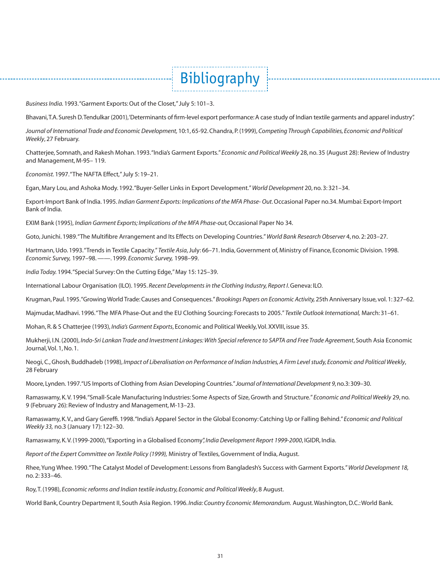*Business India.* 1993. "Garment Exports: Out of the Closet," July 5: 101–3.

Bhavani, T.A. Suresh D. Tendulkar (2001), 'Determinants of firm-level export performance: A case study of Indian textile garments and apparel industry".

Bibliography

*Journal of International Trade and Economic Development,* 10:1, 65-92. Chandra, P. (1999), *Competing Through Capabilities, Economic and Political Weekly*, 27 February.

Chatterjee, Somnath, and Rakesh Mohan. 1993. "India's Garment Exports." *Economic and Political Weekly* 28, no. 35 (August 28): Review of Industry and Management, M-95– 119.

*Economist.* 1997. "The NAFTA Effect," July 5: 19–21.

Egan, Mary Lou, and Ashoka Mody. 1992. "Buyer-Seller Links in Export Development." *World Development* 20, no. 3: 321–34.

Export-Import Bank of India. 1995. *Indian Garment Exports: Implications of the MFA Phase- Out.* Occasional Paper no.34. Mumbai: Export-Import Bank of India.

EXIM Bank (1995), *Indian Garment Exports; Implications of the MFA Phase-out,* Occasional Paper No 34.

Goto, Junichi. 1989. "The Multifibre Arrangement and Its Effects on Developing Countries." World Bank Research Observer 4, no. 2: 203-27.

Hartmann, Udo. 1993. "Trends in Textile Capacity." *Textile Asia*, July: 66–71. India, Government of, Ministry of Finance, Economic Division. 1998. *Economic Survey,* 1997–98. ——. 1999. *Economic Survey,* 1998–99.

*India Today.* 1994. "Special Survey: On the Cutting Edge," May 15: 125–39.

International Labour Organisation (ILO). 1995. *Recent Developments in the Clothing Industry, Report I*. Geneva: ILO.

Krugman, Paul. 1995. "Growing World Trade: Causes and Consequences." *Brookings Papers on Economic Activity,* 25th Anniversary Issue, vol. 1: 327–62.

Majmudar, Madhavi. 1996. "The MFA Phase-Out and the EU Clothing Sourcing: Forecasts to 2005." *Textile Outlook International,* March: 31–61.

Mohan, R. & S Chatterjee (1993), *India's Garment Exports*, Economic and Political Weekly, Vol. XXVIII, issue 35.

Mukherji, I.N. (2000), *Indo-Sri Lankan Trade and Investment Linkages: With Special reference to SAPTA and Free Trade Agreement*, South Asia Economic Journal, Vol. 1, No. 1.

Neogi, C., Ghosh, Buddhadeb (1998), *Impact of Liberalisation on Performance of Indian Industries, A Firm Level study, Economic and Political Weekly*, 28 February

Moore, Lynden. 1997. "US Imports of Clothing from Asian Developing Countries." *Journal of International Development 9*, no.3: 309–30.

Ramaswamy, K. V. 1994. "Small-Scale Manufacturing Industries: Some Aspects of Size, Growth and Structure." *Economic and Political Weekly* 29, no. 9 (February 26): Review of Industry and Management, M-13–23.

Ramaswamy, K. V., and Gary Gereffi. 1998."India's Apparel Sector in the Global Economy: Catching Up or Falling Behind." *Economic and Political Weekly 33,* no.3 (January 17): 122–30.

Ramaswamy, K. V. (1999-2000), "Exporting in a Globalised Economy", *India Development Report 1999-2000*, IGIDR, India.

*Report of the Expert Committee on Textile Policy (1999),* Ministry of Textiles, Government of India, August.

Rhee, Yung Whee. 1990. "The Catalyst Model of Development: Lessons from Bangladesh's Success with Garment Exports." *World Development 18,* no. 2: 333–46.

Roy, T. (1998), *Economic reforms and Indian textile industry, Economic and Political Weekly*, 8 August.

World Bank, Country Department II, South Asia Region. 1996. *India: Country Economic Memorandum.* August. Washington, D.C.: World Bank.